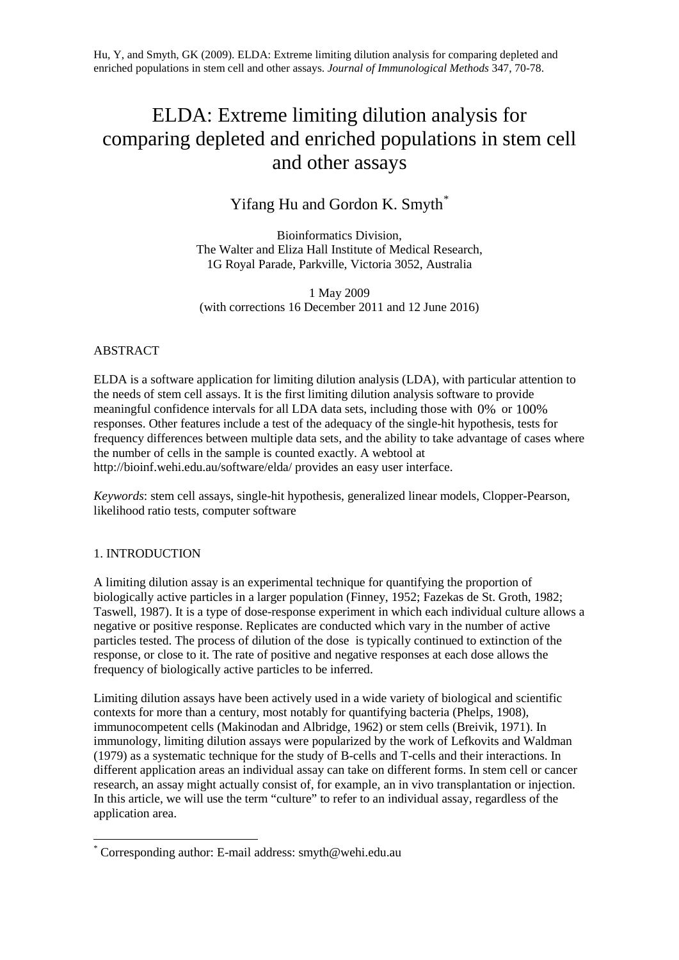Hu, Y, and Smyth, GK (2009). ELDA: Extreme limiting dilution analysis for comparing depleted and enriched populations in stem cell and other assays. *Journal of Immunological Methods* 347, 70-78.

# ELDA: Extreme limiting dilution analysis for comparing depleted and enriched populations in stem cell and other assays

## Yifang Hu and Gordon K. Smyth<sup>[\\*](#page-0-0)</sup>

Bioinformatics Division, The Walter and Eliza Hall Institute of Medical Research, 1G Royal Parade, Parkville, Victoria 3052, Australia

1 May 2009 (with corrections 16 December 2011 and 12 June 2016)

#### ABSTRACT

ELDA is a software application for limiting dilution analysis (LDA), with particular attention to the needs of stem cell assays. It is the first limiting dilution analysis software to provide meaningful confidence intervals for all LDA data sets, including those with 0% or 100% responses. Other features include a test of the adequacy of the single-hit hypothesis, tests for frequency differences between multiple data sets, and the ability to take advantage of cases where the number of cells in the sample is counted exactly. A webtool at http://bioinf.wehi.edu.au/software/elda/ provides an easy user interface.

*Keywords*: stem cell assays, single-hit hypothesis, generalized linear models, Clopper-Pearson, likelihood ratio tests, computer software

## 1. INTRODUCTION

A limiting dilution assay is an experimental technique for quantifying the proportion of biologically active particles in a larger population (Finney, 1952; Fazekas de St. Groth, 1982; Taswell, 1987). It is a type of dose-response experiment in which each individual culture allows a negative or positive response. Replicates are conducted which vary in the number of active particles tested. The process of dilution of the dose is typically continued to extinction of the response, or close to it. The rate of positive and negative responses at each dose allows the frequency of biologically active particles to be inferred.

Limiting dilution assays have been actively used in a wide variety of biological and scientific contexts for more than a century, most notably for quantifying bacteria (Phelps, 1908), immunocompetent cells (Makinodan and Albridge, 1962) or stem cells (Breivik, 1971). In immunology, limiting dilution assays were popularized by the work of Lefkovits and Waldman (1979) as a systematic technique for the study of B-cells and T-cells and their interactions. In different application areas an individual assay can take on different forms. In stem cell or cancer research, an assay might actually consist of, for example, an in vivo transplantation or injection. In this article, we will use the term "culture" to refer to an individual assay, regardless of the application area.

<span id="page-0-0"></span> <sup>\*</sup> Corresponding author: E-mail address: smyth@wehi.edu.au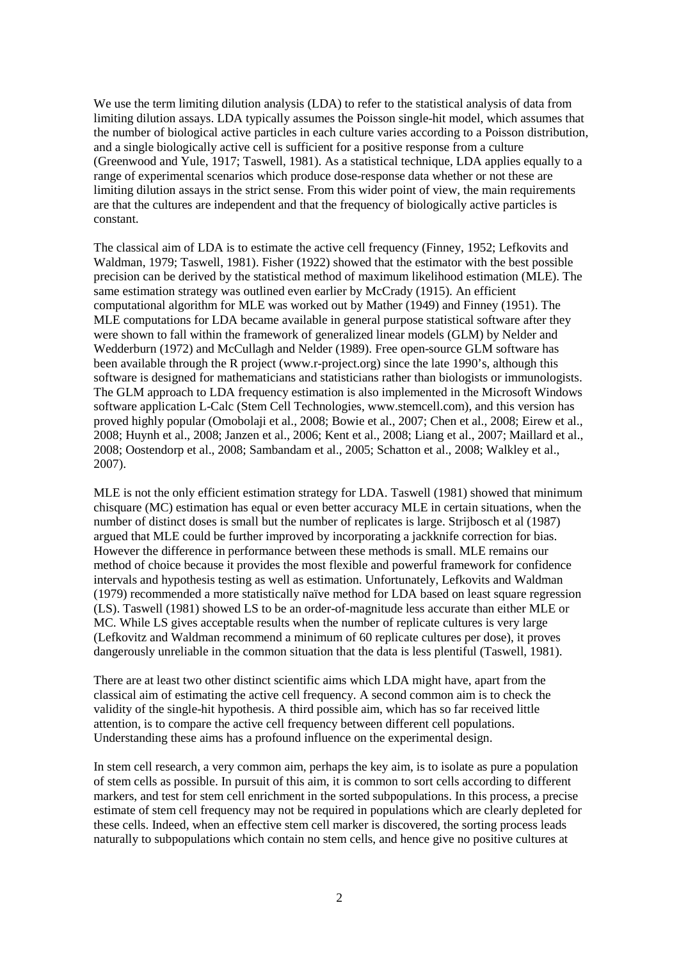We use the term limiting dilution analysis (LDA) to refer to the statistical analysis of data from limiting dilution assays. LDA typically assumes the Poisson single-hit model, which assumes that the number of biological active particles in each culture varies according to a Poisson distribution, and a single biologically active cell is sufficient for a positive response from a culture (Greenwood and Yule, 1917; Taswell, 1981). As a statistical technique, LDA applies equally to a range of experimental scenarios which produce dose-response data whether or not these are limiting dilution assays in the strict sense. From this wider point of view, the main requirements are that the cultures are independent and that the frequency of biologically active particles is constant.

The classical aim of LDA is to estimate the active cell frequency (Finney, 1952; Lefkovits and Waldman, 1979; Taswell, 1981). Fisher (1922) showed that the estimator with the best possible precision can be derived by the statistical method of maximum likelihood estimation (MLE). The same estimation strategy was outlined even earlier by McCrady (1915). An efficient computational algorithm for MLE was worked out by Mather (1949) and Finney (1951). The MLE computations for LDA became available in general purpose statistical software after they were shown to fall within the framework of generalized linear models (GLM) by Nelder and Wedderburn (1972) and McCullagh and Nelder (1989). Free open-source GLM software has been available through the R project (www.r-project.org) since the late 1990's, although this software is designed for mathematicians and statisticians rather than biologists or immunologists. The GLM approach to LDA frequency estimation is also implemented in the Microsoft Windows software application L-Calc (Stem Cell Technologies, www.stemcell.com), and this version has proved highly popular (Omobolaji et al., 2008; Bowie et al., 2007; Chen et al., 2008; Eirew et al., 2008; Huynh et al., 2008; Janzen et al., 2006; Kent et al., 2008; Liang et al., 2007; Maillard et al., 2008; Oostendorp et al., 2008; Sambandam et al., 2005; Schatton et al., 2008; Walkley et al., 2007).

MLE is not the only efficient estimation strategy for LDA. Taswell (1981) showed that minimum chisquare (MC) estimation has equal or even better accuracy MLE in certain situations, when the number of distinct doses is small but the number of replicates is large. Strijbosch et al (1987) argued that MLE could be further improved by incorporating a jackknife correction for bias. However the difference in performance between these methods is small. MLE remains our method of choice because it provides the most flexible and powerful framework for confidence intervals and hypothesis testing as well as estimation. Unfortunately, Lefkovits and Waldman (1979) recommended a more statistically naïve method for LDA based on least square regression (LS). Taswell (1981) showed LS to be an order-of-magnitude less accurate than either MLE or MC. While LS gives acceptable results when the number of replicate cultures is very large (Lefkovitz and Waldman recommend a minimum of 60 replicate cultures per dose), it proves dangerously unreliable in the common situation that the data is less plentiful (Taswell, 1981).

There are at least two other distinct scientific aims which LDA might have, apart from the classical aim of estimating the active cell frequency. A second common aim is to check the validity of the single-hit hypothesis. A third possible aim, which has so far received little attention, is to compare the active cell frequency between different cell populations. Understanding these aims has a profound influence on the experimental design.

In stem cell research, a very common aim, perhaps the key aim, is to isolate as pure a population of stem cells as possible. In pursuit of this aim, it is common to sort cells according to different markers, and test for stem cell enrichment in the sorted subpopulations. In this process, a precise estimate of stem cell frequency may not be required in populations which are clearly depleted for these cells. Indeed, when an effective stem cell marker is discovered, the sorting process leads naturally to subpopulations which contain no stem cells, and hence give no positive cultures at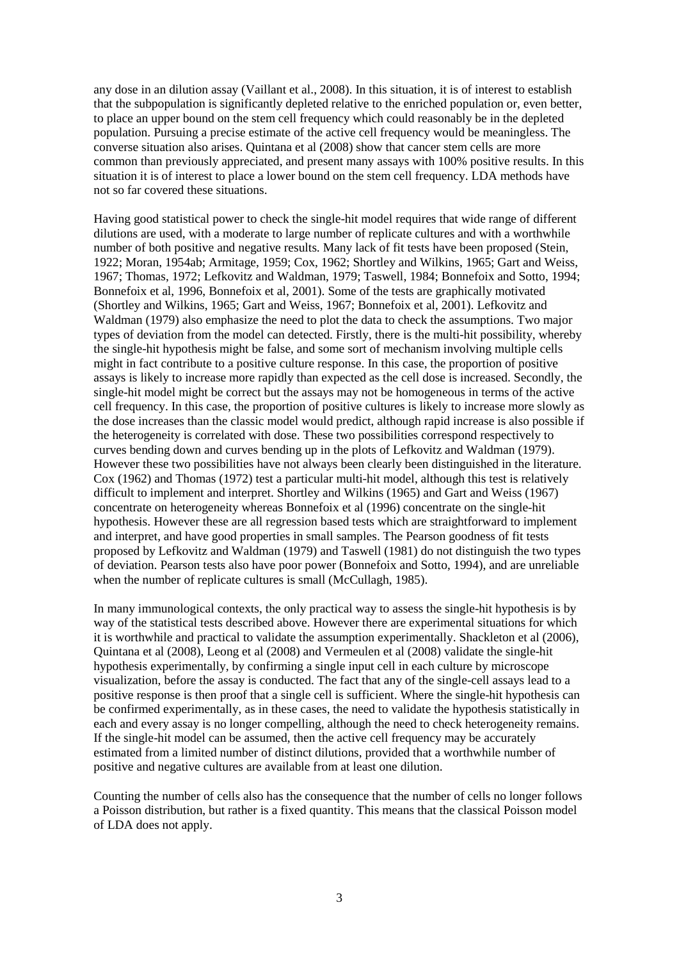any dose in an dilution assay (Vaillant et al., 2008). In this situation, it is of interest to establish that the subpopulation is significantly depleted relative to the enriched population or, even better, to place an upper bound on the stem cell frequency which could reasonably be in the depleted population. Pursuing a precise estimate of the active cell frequency would be meaningless. The converse situation also arises. Quintana et al (2008) show that cancer stem cells are more common than previously appreciated, and present many assays with 100% positive results. In this situation it is of interest to place a lower bound on the stem cell frequency. LDA methods have not so far covered these situations.

Having good statistical power to check the single-hit model requires that wide range of different dilutions are used, with a moderate to large number of replicate cultures and with a worthwhile number of both positive and negative results. Many lack of fit tests have been proposed (Stein, 1922; Moran, 1954ab; Armitage, 1959; Cox, 1962; Shortley and Wilkins, 1965; Gart and Weiss, 1967; Thomas, 1972; Lefkovitz and Waldman, 1979; Taswell, 1984; Bonnefoix and Sotto, 1994; Bonnefoix et al, 1996, Bonnefoix et al, 2001). Some of the tests are graphically motivated (Shortley and Wilkins, 1965; Gart and Weiss, 1967; Bonnefoix et al, 2001). Lefkovitz and Waldman (1979) also emphasize the need to plot the data to check the assumptions. Two major types of deviation from the model can detected. Firstly, there is the multi-hit possibility, whereby the single-hit hypothesis might be false, and some sort of mechanism involving multiple cells might in fact contribute to a positive culture response. In this case, the proportion of positive assays is likely to increase more rapidly than expected as the cell dose is increased. Secondly, the single-hit model might be correct but the assays may not be homogeneous in terms of the active cell frequency. In this case, the proportion of positive cultures is likely to increase more slowly as the dose increases than the classic model would predict, although rapid increase is also possible if the heterogeneity is correlated with dose. These two possibilities correspond respectively to curves bending down and curves bending up in the plots of Lefkovitz and Waldman (1979). However these two possibilities have not always been clearly been distinguished in the literature. Cox (1962) and Thomas (1972) test a particular multi-hit model, although this test is relatively difficult to implement and interpret. Shortley and Wilkins (1965) and Gart and Weiss (1967) concentrate on heterogeneity whereas Bonnefoix et al (1996) concentrate on the single-hit hypothesis. However these are all regression based tests which are straightforward to implement and interpret, and have good properties in small samples. The Pearson goodness of fit tests proposed by Lefkovitz and Waldman (1979) and Taswell (1981) do not distinguish the two types of deviation. Pearson tests also have poor power (Bonnefoix and Sotto, 1994), and are unreliable when the number of replicate cultures is small (McCullagh, 1985).

In many immunological contexts, the only practical way to assess the single-hit hypothesis is by way of the statistical tests described above. However there are experimental situations for which it is worthwhile and practical to validate the assumption experimentally. Shackleton et al (2006), Quintana et al (2008), Leong et al (2008) and Vermeulen et al (2008) validate the single-hit hypothesis experimentally, by confirming a single input cell in each culture by microscope visualization, before the assay is conducted. The fact that any of the single-cell assays lead to a positive response is then proof that a single cell is sufficient. Where the single-hit hypothesis can be confirmed experimentally, as in these cases, the need to validate the hypothesis statistically in each and every assay is no longer compelling, although the need to check heterogeneity remains. If the single-hit model can be assumed, then the active cell frequency may be accurately estimated from a limited number of distinct dilutions, provided that a worthwhile number of positive and negative cultures are available from at least one dilution.

Counting the number of cells also has the consequence that the number of cells no longer follows a Poisson distribution, but rather is a fixed quantity. This means that the classical Poisson model of LDA does not apply.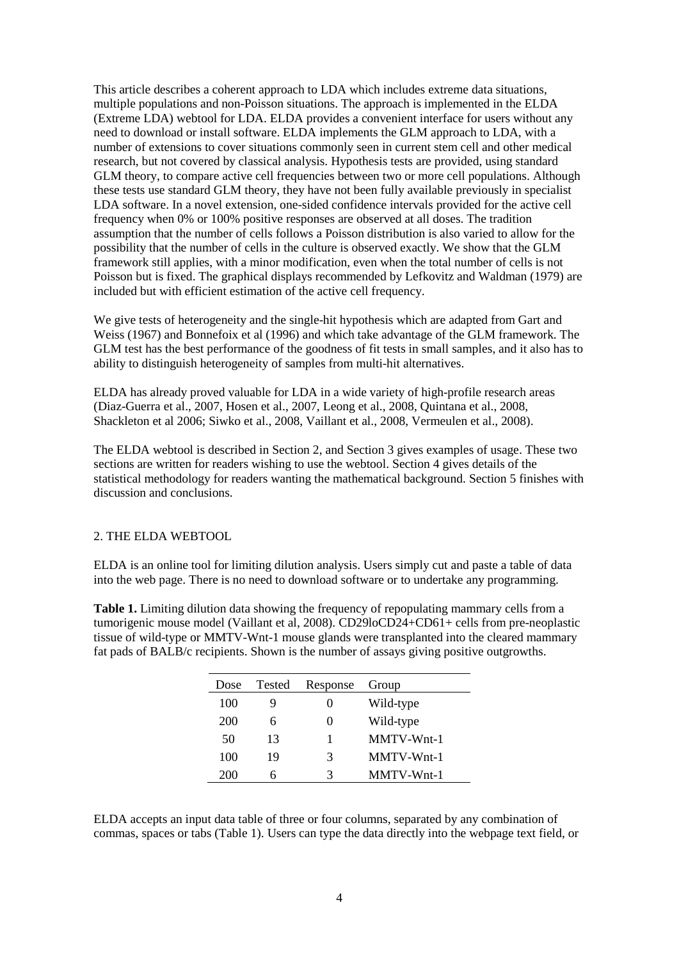This article describes a coherent approach to LDA which includes extreme data situations, multiple populations and non-Poisson situations. The approach is implemented in the ELDA (Extreme LDA) webtool for LDA. ELDA provides a convenient interface for users without any need to download or install software. ELDA implements the GLM approach to LDA, with a number of extensions to cover situations commonly seen in current stem cell and other medical research, but not covered by classical analysis. Hypothesis tests are provided, using standard GLM theory, to compare active cell frequencies between two or more cell populations. Although these tests use standard GLM theory, they have not been fully available previously in specialist LDA software. In a novel extension, one-sided confidence intervals provided for the active cell frequency when 0% or 100% positive responses are observed at all doses. The tradition assumption that the number of cells follows a Poisson distribution is also varied to allow for the possibility that the number of cells in the culture is observed exactly. We show that the GLM framework still applies, with a minor modification, even when the total number of cells is not Poisson but is fixed. The graphical displays recommended by Lefkovitz and Waldman (1979) are included but with efficient estimation of the active cell frequency.

We give tests of heterogeneity and the single-hit hypothesis which are adapted from Gart and Weiss (1967) and Bonnefoix et al (1996) and which take advantage of the GLM framework. The GLM test has the best performance of the goodness of fit tests in small samples, and it also has to ability to distinguish heterogeneity of samples from multi-hit alternatives.

ELDA has already proved valuable for LDA in a wide variety of high-profile research areas (Diaz-Guerra et al., 2007, Hosen et al., 2007, Leong et al., 2008, Quintana et al., 2008, Shackleton et al 2006; Siwko et al., 2008, Vaillant et al., 2008, Vermeulen et al., 2008).

The ELDA webtool is described in Section 2, and Section 3 gives examples of usage. These two sections are written for readers wishing to use the webtool. Section 4 gives details of the statistical methodology for readers wanting the mathematical background. Section 5 finishes with discussion and conclusions.

## 2. THE ELDA WEBTOOL

ELDA is an online tool for limiting dilution analysis. Users simply cut and paste a table of data into the web page. There is no need to download software or to undertake any programming.

Table 1. Limiting dilution data showing the frequency of repopulating mammary cells from a tumorigenic mouse model (Vaillant et al, 2008). CD29loCD24+CD61+ cells from pre-neoplastic tissue of wild-type or MMTV-Wnt-1 mouse glands were transplanted into the cleared mammary fat pads of BALB/c recipients. Shown is the number of assays giving positive outgrowths.

| Dose | Tested | Response | Group      |
|------|--------|----------|------------|
| 100  |        | 0        | Wild-type  |
| 200  | h      | 0        | Wild-type  |
| 50   | 13     |          | MMTV-Wnt-1 |
| 100  | 19     | 3        | MMTV-Wnt-1 |
| 200  |        | 3        | MMTV-Wnt-1 |

ELDA accepts an input data table of three or four columns, separated by any combination of commas, spaces or tabs (Table 1). Users can type the data directly into the webpage text field, or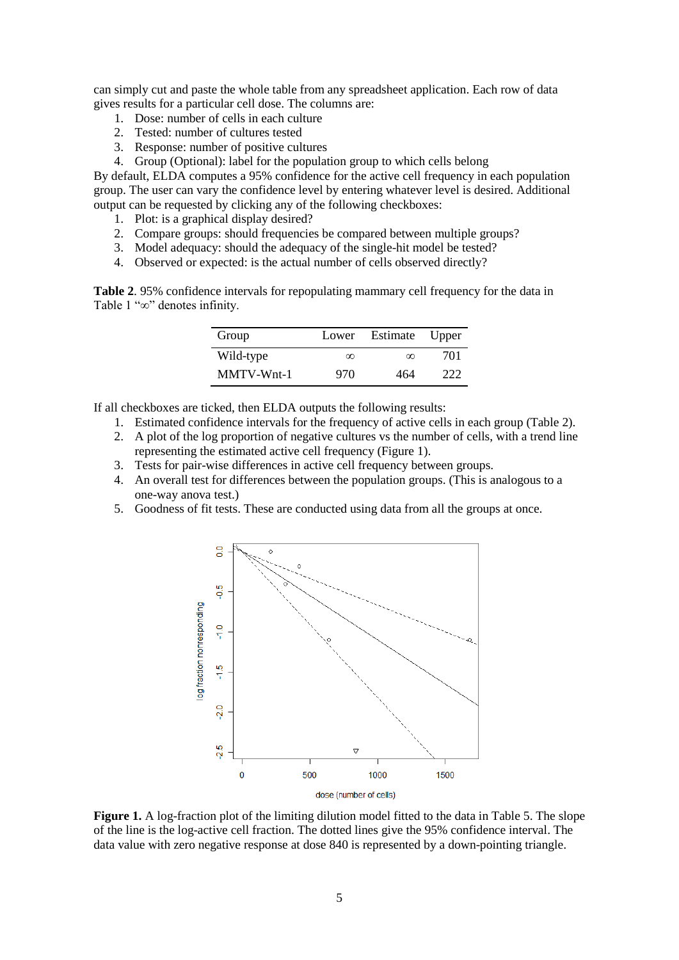can simply cut and paste the whole table from any spreadsheet application. Each row of data gives results for a particular cell dose. The columns are:

- 1. Dose: number of cells in each culture
- 2. Tested: number of cultures tested
- 3. Response: number of positive cultures
- 4. Group (Optional): label for the population group to which cells belong

By default, ELDA computes a 95% confidence for the active cell frequency in each population group. The user can vary the confidence level by entering whatever level is desired. Additional output can be requested by clicking any of the following checkboxes:

- 1. Plot: is a graphical display desired?
- 2. Compare groups: should frequencies be compared between multiple groups?
- 3. Model adequacy: should the adequacy of the single-hit model be tested?
- 4. Observed or expected: is the actual number of cells observed directly?

**Table 2**. 95% confidence intervals for repopulating mammary cell frequency for the data in Table 1 "∞" denotes infinity.

| Group      | Lower    | Estimate Upper |     |
|------------|----------|----------------|-----|
| Wild-type  | $\infty$ | $\infty$       | 701 |
| MMTV-Wnt-1 | 970      | 464            | 222 |

If all checkboxes are ticked, then ELDA outputs the following results:

- 1. Estimated confidence intervals for the frequency of active cells in each group (Table 2).
- 2. A plot of the log proportion of negative cultures vs the number of cells, with a trend line representing the estimated active cell frequency (Figure 1).
- 3. Tests for pair-wise differences in active cell frequency between groups.
- 4. An overall test for differences between the population groups. (This is analogous to a one-way anova test.)
- 5. Goodness of fit tests. These are conducted using data from all the groups at once.



**Figure 1.** A log-fraction plot of the limiting dilution model fitted to the data in Table 5. The slope of the line is the log-active cell fraction. The dotted lines give the 95% confidence interval. The data value with zero negative response at dose 840 is represented by a down-pointing triangle.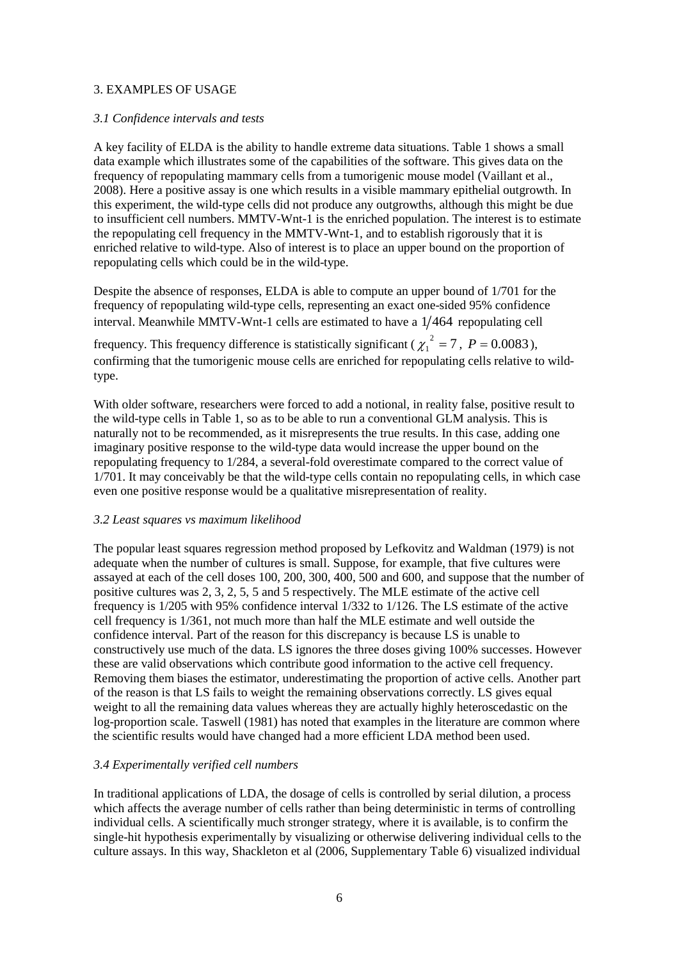## 3. EXAMPLES OF USAGE

#### *3.1 Confidence intervals and tests*

A key facility of ELDA is the ability to handle extreme data situations. Table 1 shows a small data example which illustrates some of the capabilities of the software. This gives data on the frequency of repopulating mammary cells from a tumorigenic mouse model (Vaillant et al., 2008). Here a positive assay is one which results in a visible mammary epithelial outgrowth. In this experiment, the wild-type cells did not produce any outgrowths, although this might be due to insufficient cell numbers. MMTV-Wnt-1 is the enriched population. The interest is to estimate the repopulating cell frequency in the MMTV-Wnt-1, and to establish rigorously that it is enriched relative to wild-type. Also of interest is to place an upper bound on the proportion of repopulating cells which could be in the wild-type.

Despite the absence of responses, ELDA is able to compute an upper bound of 1/701 for the frequency of repopulating wild-type cells, representing an exact one-sided 95% confidence interval. Meanwhile MMTV-Wnt-1 cells are estimated to have a  $1/464$  repopulating cell

frequency. This frequency difference is statistically significant ( $\chi_1^2 = 7$ ,  $P = 0.0083$ ), confirming that the tumorigenic mouse cells are enriched for repopulating cells relative to wildtype.

With older software, researchers were forced to add a notional, in reality false, positive result to the wild-type cells in Table 1, so as to be able to run a conventional GLM analysis. This is naturally not to be recommended, as it misrepresents the true results. In this case, adding one imaginary positive response to the wild-type data would increase the upper bound on the repopulating frequency to 1/284, a several-fold overestimate compared to the correct value of 1/701. It may conceivably be that the wild-type cells contain no repopulating cells, in which case even one positive response would be a qualitative misrepresentation of reality.

#### *3.2 Least squares vs maximum likelihood*

The popular least squares regression method proposed by Lefkovitz and Waldman (1979) is not adequate when the number of cultures is small. Suppose, for example, that five cultures were assayed at each of the cell doses 100, 200, 300, 400, 500 and 600, and suppose that the number of positive cultures was 2, 3, 2, 5, 5 and 5 respectively. The MLE estimate of the active cell frequency is 1/205 with 95% confidence interval 1/332 to 1/126. The LS estimate of the active cell frequency is 1/361, not much more than half the MLE estimate and well outside the confidence interval. Part of the reason for this discrepancy is because LS is unable to constructively use much of the data. LS ignores the three doses giving 100% successes. However these are valid observations which contribute good information to the active cell frequency. Removing them biases the estimator, underestimating the proportion of active cells. Another part of the reason is that LS fails to weight the remaining observations correctly. LS gives equal weight to all the remaining data values whereas they are actually highly heteroscedastic on the log-proportion scale. Taswell (1981) has noted that examples in the literature are common where the scientific results would have changed had a more efficient LDA method been used.

## *3.4 Experimentally verified cell numbers*

In traditional applications of LDA, the dosage of cells is controlled by serial dilution, a process which affects the average number of cells rather than being deterministic in terms of controlling individual cells. A scientifically much stronger strategy, where it is available, is to confirm the single-hit hypothesis experimentally by visualizing or otherwise delivering individual cells to the culture assays. In this way, Shackleton et al (2006, Supplementary Table 6) visualized individual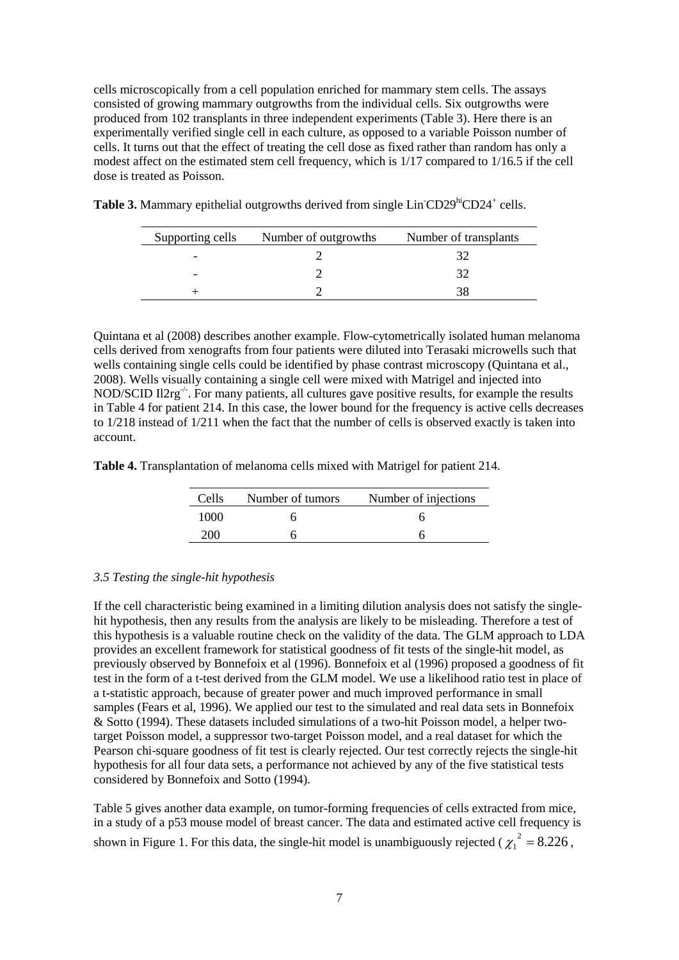cells microscopically from a cell population enriched for mammary stem cells. The assays consisted of growing mammary outgrowths from the individual cells. Six outgrowths were produced from 102 transplants in three independent experiments (Table 3). Here there is an experimentally verified single cell in each culture, as opposed to a variable Poisson number of cells. It turns out that the effect of treating the cell dose as fixed rather than random has only a modest affect on the estimated stem cell frequency, which is 1/17 compared to 1/16.5 if the cell dose is treated as Poisson.

| Supporting cells | Number of outgrowths | Number of transplants |
|------------------|----------------------|-----------------------|
|                  |                      |                       |
|                  |                      |                       |
|                  |                      |                       |

**Table 3.** Mammary epithelial outgrowths derived from single Lin<sup>-</sup>CD29<sup>hi</sup>CD24<sup>+</sup> cells.

Quintana et al (2008) describes another example. Flow-cytometrically isolated human melanoma cells derived from xenografts from four patients were diluted into Terasaki microwells such that wells containing single cells could be identified by phase contrast microscopy (Quintana et al., 2008). Wells visually containing a single cell were mixed with Matrigel and injected into NOD/SCID Il $2rg^{-1}$ . For many patients, all cultures gave positive results, for example the results in Table 4 for patient 214. In this case, the lower bound for the frequency is active cells decreases to 1/218 instead of 1/211 when the fact that the number of cells is observed exactly is taken into account.

**Table 4.** Transplantation of melanoma cells mixed with Matrigel for patient 214.

| Cells | Number of tumors | Number of injections |
|-------|------------------|----------------------|
| 1000  |                  |                      |
| 200   |                  |                      |

#### *3.5 Testing the single-hit hypothesis*

If the cell characteristic being examined in a limiting dilution analysis does not satisfy the singlehit hypothesis, then any results from the analysis are likely to be misleading. Therefore a test of this hypothesis is a valuable routine check on the validity of the data. The GLM approach to LDA provides an excellent framework for statistical goodness of fit tests of the single-hit model, as previously observed by Bonnefoix et al (1996). Bonnefoix et al (1996) proposed a goodness of fit test in the form of a t-test derived from the GLM model. We use a likelihood ratio test in place of a t-statistic approach, because of greater power and much improved performance in small samples (Fears et al, 1996). We applied our test to the simulated and real data sets in Bonnefoix & Sotto (1994). These datasets included simulations of a two-hit Poisson model, a helper twotarget Poisson model, a suppressor two-target Poisson model, and a real dataset for which the Pearson chi-square goodness of fit test is clearly rejected. Our test correctly rejects the single-hit hypothesis for all four data sets, a performance not achieved by any of the five statistical tests considered by Bonnefoix and Sotto (1994).

Table 5 gives another data example, on tumor-forming frequencies of cells extracted from mice, in a study of a p53 mouse model of breast cancer. The data and estimated active cell frequency is shown in Figure 1. For this data, the single-hit model is unambiguously rejected ( $\chi_1^2 = 8.226$ ,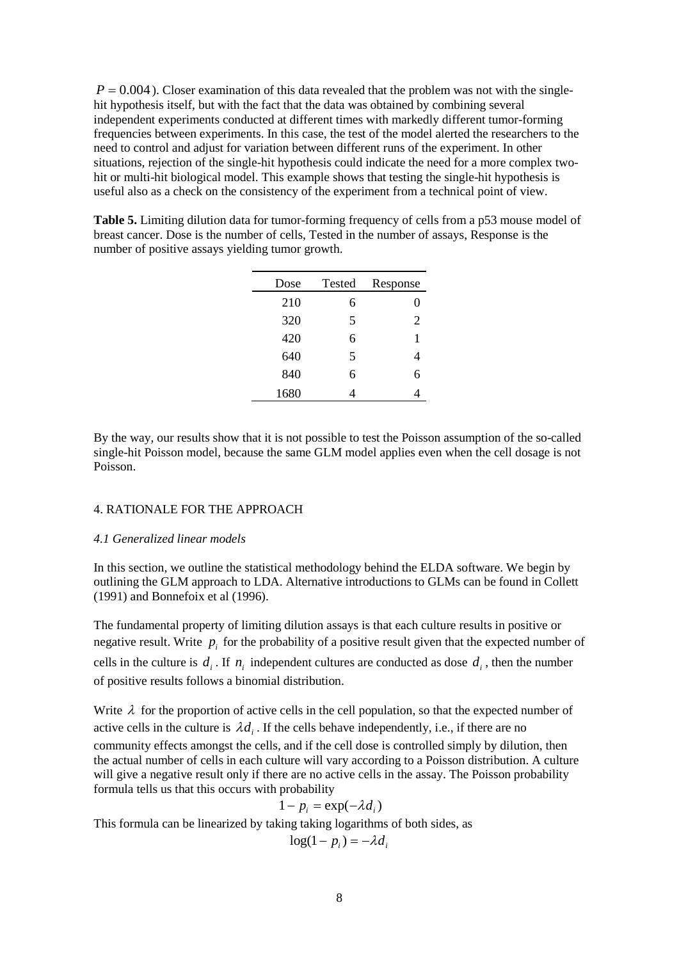$P = 0.004$ ). Closer examination of this data revealed that the problem was not with the singlehit hypothesis itself, but with the fact that the data was obtained by combining several independent experiments conducted at different times with markedly different tumor-forming frequencies between experiments. In this case, the test of the model alerted the researchers to the need to control and adjust for variation between different runs of the experiment. In other situations, rejection of the single-hit hypothesis could indicate the need for a more complex twohit or multi-hit biological model. This example shows that testing the single-hit hypothesis is useful also as a check on the consistency of the experiment from a technical point of view.

**Table 5.** Limiting dilution data for tumor-forming frequency of cells from a p53 mouse model of breast cancer. Dose is the number of cells, Tested in the number of assays, Response is the number of positive assays yielding tumor growth.

| Dose | Tested                   | Response       |
|------|--------------------------|----------------|
| 210  | 6                        | 0              |
| 320  | 5                        | $\overline{2}$ |
| 420  | 6                        | 1              |
| 640  | $\overline{\phantom{0}}$ | 4              |
| 840  | 6                        | 6              |
| 1680 |                          |                |

By the way, our results show that it is not possible to test the Poisson assumption of the so-called single-hit Poisson model, because the same GLM model applies even when the cell dosage is not Poisson.

## 4. RATIONALE FOR THE APPROACH

#### *4.1 Generalized linear models*

In this section, we outline the statistical methodology behind the ELDA software. We begin by outlining the GLM approach to LDA. Alternative introductions to GLMs can be found in Collett (1991) and Bonnefoix et al (1996).

The fundamental property of limiting dilution assays is that each culture results in positive or negative result. Write  $p_i$  for the probability of a positive result given that the expected number of cells in the culture is  $d_i$ . If  $n_i$  independent cultures are conducted as dose  $d_i$ , then the number of positive results follows a binomial distribution.

Write  $\lambda$  for the proportion of active cells in the cell population, so that the expected number of active cells in the culture is  $\lambda d_i$ . If the cells behave independently, i.e., if there are no community effects amongst the cells, and if the cell dose is controlled simply by dilution, then the actual number of cells in each culture will vary according to a Poisson distribution. A culture will give a negative result only if there are no active cells in the assay. The Poisson probability formula tells us that this occurs with probability

$$
1 - p_i = \exp(-\lambda d_i)
$$

This formula can be linearized by taking taking logarithms of both sides, as

 $log(1 - p_i) = -\lambda d_i$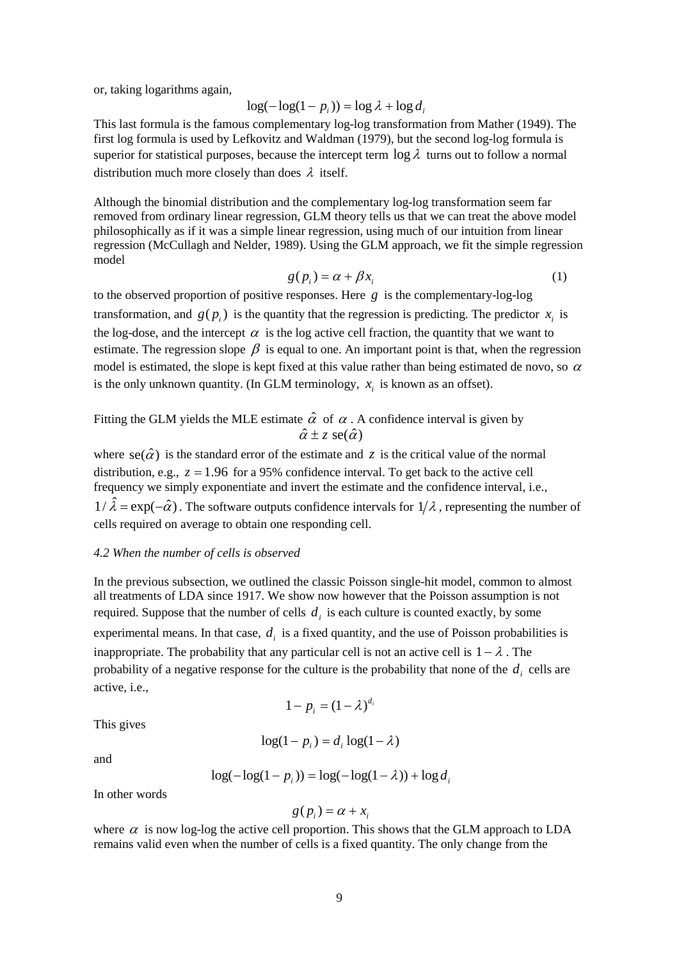or, taking logarithms again,

$$
\log(-\log(1-p_i)) = \log \lambda + \log d_i
$$

This last formula is the famous complementary log-log transformation from Mather (1949). The first log formula is used by Lefkovitz and Waldman (1979), but the second log-log formula is superior for statistical purposes, because the intercept term  $\log \lambda$  turns out to follow a normal distribution much more closely than does  $\lambda$  itself.

Although the binomial distribution and the complementary log-log transformation seem far removed from ordinary linear regression, GLM theory tells us that we can treat the above model philosophically as if it was a simple linear regression, using much of our intuition from linear regression (McCullagh and Nelder, 1989). Using the GLM approach, we fit the simple regression model

$$
g(p_i) = \alpha + \beta x_i \tag{1}
$$

to the observed proportion of positive responses. Here *g* is the complementary-log-log

transformation, and  $g(p_i)$  is the quantity that the regression is predicting. The predictor  $x_i$  is the log-dose, and the intercept  $\alpha$  is the log active cell fraction, the quantity that we want to estimate. The regression slope  $\beta$  is equal to one. An important point is that, when the regression model is estimated, the slope is kept fixed at this value rather than being estimated de novo, so  $\alpha$ is the only unknown quantity. (In GLM terminology,  $x_i$  is known as an offset).

Fitting the GLM yields the MLE estimate  $\hat{\alpha}$  of  $\alpha$ . A confidence interval is given by  $\hat{\alpha}$  + *z* se( $\hat{\alpha}$ )

where  $se(\hat{\alpha})$  is the standard error of the estimate and *z* is the critical value of the normal distribution, e.g.,  $z = 1.96$  for a 95% confidence interval. To get back to the active cell frequency we simply exponentiate and invert the estimate and the confidence interval, i.e.,  $1/\hat{\lambda} = \exp(-\hat{\alpha})$ . The software outputs confidence intervals for  $1/\lambda$ , representing the number of cells required on average to obtain one responding cell.

#### *4.2 When the number of cells is observed*

In the previous subsection, we outlined the classic Poisson single-hit model, common to almost all treatments of LDA since 1917. We show now however that the Poisson assumption is not required. Suppose that the number of cells  $d_i$  is each culture is counted exactly, by some experimental means. In that case,  $d_i$  is a fixed quantity, and the use of Poisson probabilities is inappropriate. The probability that any particular cell is not an active cell is  $1-\lambda$ . The probability of a negative response for the culture is the probability that none of the  $d_i$  cells are active, i.e.,

$$
1-p_i=(1-\lambda)^{d_i}
$$

This gives

$$
\log(1 - p_i) = d_i \log(1 - \lambda)
$$

and

$$
\log(-\log(1-p_i)) = \log(-\log(1-\lambda)) + \log d_i
$$

In other words

$$
g(p_i) = \alpha + x_i
$$

where  $\alpha$  is now log-log the active cell proportion. This shows that the GLM approach to LDA remains valid even when the number of cells is a fixed quantity. The only change from the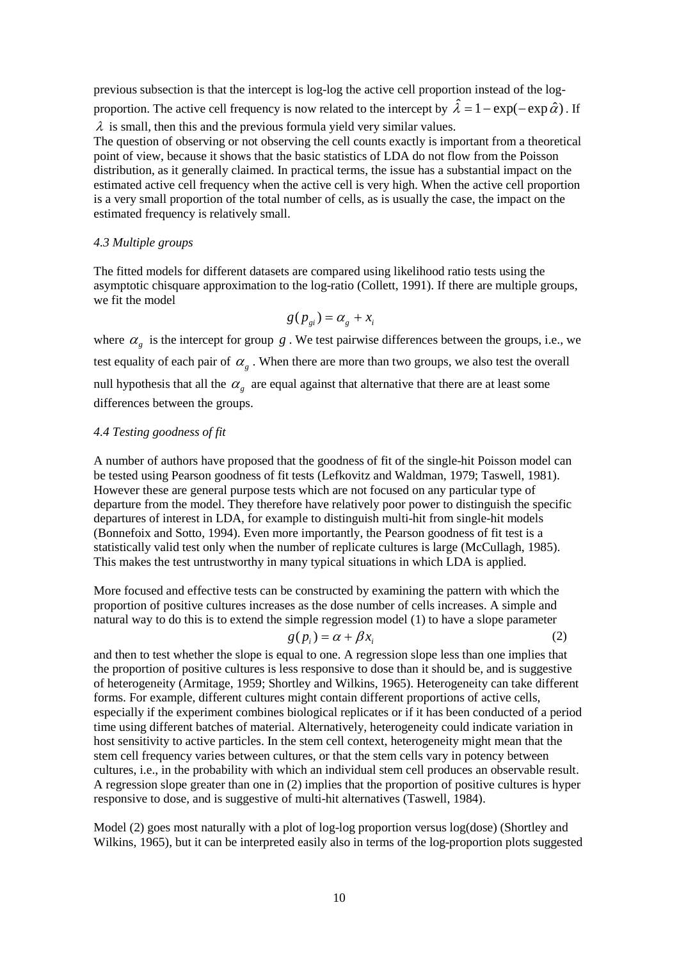previous subsection is that the intercept is log-log the active cell proportion instead of the logproportion. The active cell frequency is now related to the intercept by  $\hat{\lambda} = 1 - \exp(-\exp \hat{\alpha})$ . If  $\lambda$  is small, then this and the previous formula yield very similar values.

The question of observing or not observing the cell counts exactly is important from a theoretical point of view, because it shows that the basic statistics of LDA do not flow from the Poisson distribution, as it generally claimed. In practical terms, the issue has a substantial impact on the estimated active cell frequency when the active cell is very high. When the active cell proportion is a very small proportion of the total number of cells, as is usually the case, the impact on the estimated frequency is relatively small.

## *4.3 Multiple groups*

The fitted models for different datasets are compared using likelihood ratio tests using the asymptotic chisquare approximation to the log-ratio (Collett, 1991). If there are multiple groups, we fit the model

$$
g(p_{gi}) = \alpha_g + x_i
$$

where  $\alpha_{\varrho}$  is the intercept for group  $g$ . We test pairwise differences between the groups, i.e., we test equality of each pair of  $\alpha_{g}$ . When there are more than two groups, we also test the overall null hypothesis that all the  $\alpha_{g}$  are equal against that alternative that there are at least some differences between the groups.

#### *4.4 Testing goodness of fit*

A number of authors have proposed that the goodness of fit of the single-hit Poisson model can be tested using Pearson goodness of fit tests (Lefkovitz and Waldman, 1979; Taswell, 1981). However these are general purpose tests which are not focused on any particular type of departure from the model. They therefore have relatively poor power to distinguish the specific departures of interest in LDA, for example to distinguish multi-hit from single-hit models (Bonnefoix and Sotto, 1994). Even more importantly, the Pearson goodness of fit test is a statistically valid test only when the number of replicate cultures is large (McCullagh, 1985). This makes the test untrustworthy in many typical situations in which LDA is applied.

More focused and effective tests can be constructed by examining the pattern with which the proportion of positive cultures increases as the dose number of cells increases. A simple and natural way to do this is to extend the simple regression model (1) to have a slope parameter

$$
g(p_i) = \alpha + \beta x_i \tag{2}
$$

and then to test whether the slope is equal to one. A regression slope less than one implies that the proportion of positive cultures is less responsive to dose than it should be, and is suggestive of heterogeneity (Armitage, 1959; Shortley and Wilkins, 1965). Heterogeneity can take different forms. For example, different cultures might contain different proportions of active cells, especially if the experiment combines biological replicates or if it has been conducted of a period time using different batches of material. Alternatively, heterogeneity could indicate variation in host sensitivity to active particles. In the stem cell context, heterogeneity might mean that the stem cell frequency varies between cultures, or that the stem cells vary in potency between cultures, i.e., in the probability with which an individual stem cell produces an observable result. A regression slope greater than one in (2) implies that the proportion of positive cultures is hyper responsive to dose, and is suggestive of multi-hit alternatives (Taswell, 1984).

Model (2) goes most naturally with a plot of log-log proportion versus log(dose) (Shortley and Wilkins, 1965), but it can be interpreted easily also in terms of the log-proportion plots suggested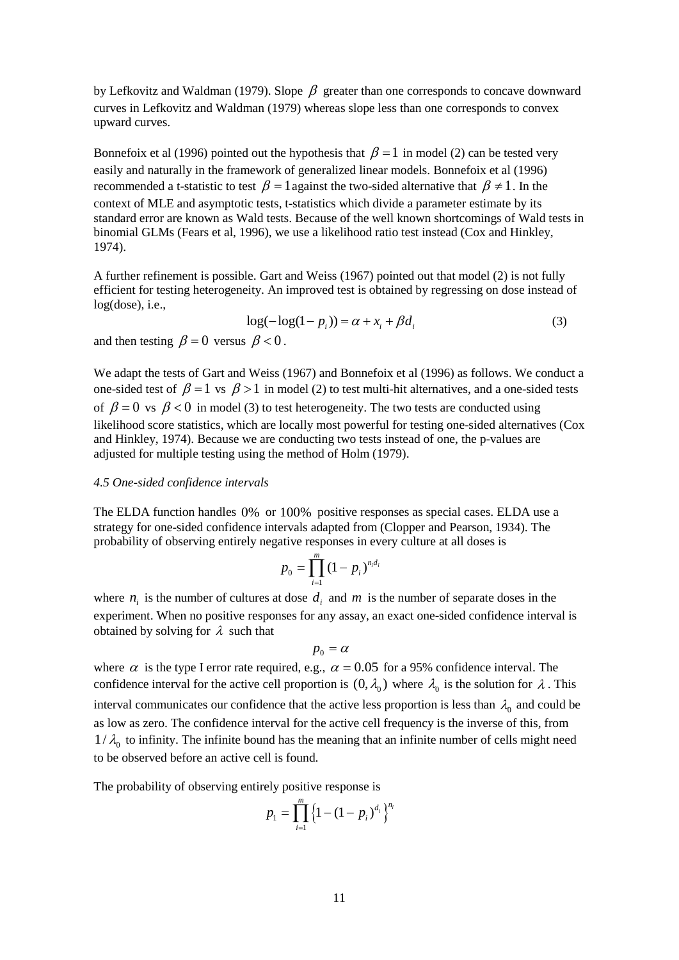by Lefkovitz and Waldman (1979). Slope  $\beta$  greater than one corresponds to concave downward curves in Lefkovitz and Waldman (1979) whereas slope less than one corresponds to convex upward curves.

Bonnefoix et al (1996) pointed out the hypothesis that  $\beta = 1$  in model (2) can be tested very easily and naturally in the framework of generalized linear models. Bonnefoix et al (1996) recommended a t-statistic to test  $\beta = 1$  against the two-sided alternative that  $\beta \neq 1$ . In the context of MLE and asymptotic tests, t-statistics which divide a parameter estimate by its standard error are known as Wald tests. Because of the well known shortcomings of Wald tests in binomial GLMs (Fears et al, 1996), we use a likelihood ratio test instead (Cox and Hinkley, 1974).

A further refinement is possible. Gart and Weiss (1967) pointed out that model (2) is not fully efficient for testing heterogeneity. An improved test is obtained by regressing on dose instead of log(dose), i.e.,

$$
log(-log(1-pi)) = \alpha + xi + \beta di
$$
 (3)

and then testing  $\beta = 0$  versus  $\beta < 0$ .

We adapt the tests of Gart and Weiss (1967) and Bonnefoix et al (1996) as follows. We conduct a one-sided test of  $\beta = 1$  vs  $\beta > 1$  in model (2) to test multi-hit alternatives, and a one-sided tests of  $\beta = 0$  vs  $\beta < 0$  in model (3) to test heterogeneity. The two tests are conducted using likelihood score statistics, which are locally most powerful for testing one-sided alternatives (Cox and Hinkley, 1974). Because we are conducting two tests instead of one, the p-values are adjusted for multiple testing using the method of Holm (1979).

#### *4.5 One-sided confidence intervals*

The ELDA function handles 0% or 100% positive responses as special cases. ELDA use a strategy for one-sided confidence intervals adapted from (Clopper and Pearson, 1934). The probability of observing entirely negative responses in every culture at all doses is

$$
p_0 = \prod_{i=1}^m (1 - p_i)^{n_i d_i}
$$

where  $n_i$  is the number of cultures at dose  $d_i$  and  $m$  is the number of separate doses in the experiment. When no positive responses for any assay, an exact one-sided confidence interval is obtained by solving for  $\lambda$  such that

$$
p_{0}=\alpha
$$

where  $\alpha$  is the type I error rate required, e.g.,  $\alpha = 0.05$  for a 95% confidence interval. The confidence interval for the active cell proportion is  $(0, \lambda_0)$  where  $\lambda_0$  is the solution for  $\lambda$ . This interval communicates our confidence that the active less proportion is less than  $\lambda_0$  and could be as low as zero. The confidence interval for the active cell frequency is the inverse of this, from  $1/\lambda_0$  to infinity. The infinite bound has the meaning that an infinite number of cells might need to be observed before an active cell is found.

The probability of observing entirely positive response is

$$
p_1 = \prod_{i=1}^m \left\{1 - (1 - p_i)^{d_i}\right\}^{n_i}
$$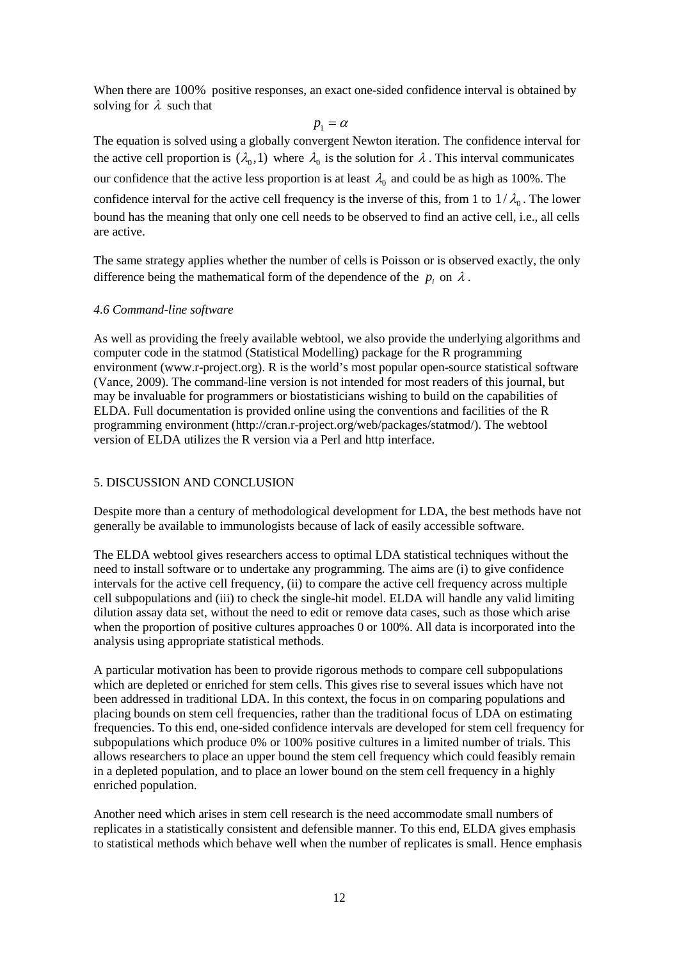When there are 100% positive responses, an exact one-sided confidence interval is obtained by solving for  $\lambda$  such that

$$
p_{1}=\alpha
$$

The equation is solved using a globally convergent Newton iteration. The confidence interval for the active cell proportion is  $(\lambda_0, 1)$  where  $\lambda_0$  is the solution for  $\lambda$ . This interval communicates our confidence that the active less proportion is at least  $\lambda_0$  and could be as high as 100%. The confidence interval for the active cell frequency is the inverse of this, from 1 to  $1/\lambda_0$ . The lower bound has the meaning that only one cell needs to be observed to find an active cell, i.e., all cells are active.

The same strategy applies whether the number of cells is Poisson or is observed exactly, the only difference being the mathematical form of the dependence of the  $p_i$  on  $\lambda$ .

#### *4.6 Command-line software*

As well as providing the freely available webtool, we also provide the underlying algorithms and computer code in the statmod (Statistical Modelling) package for the R programming environment (www.r-project.org). R is the world's most popular open-source statistical software (Vance, 2009). The command-line version is not intended for most readers of this journal, but may be invaluable for programmers or biostatisticians wishing to build on the capabilities of ELDA. Full documentation is provided online using the conventions and facilities of the R programming environment (http://cran.r-project.org/web/packages/statmod/). The webtool version of ELDA utilizes the R version via a Perl and http interface.

## 5. DISCUSSION AND CONCLUSION

Despite more than a century of methodological development for LDA, the best methods have not generally be available to immunologists because of lack of easily accessible software.

The ELDA webtool gives researchers access to optimal LDA statistical techniques without the need to install software or to undertake any programming. The aims are (i) to give confidence intervals for the active cell frequency, (ii) to compare the active cell frequency across multiple cell subpopulations and (iii) to check the single-hit model. ELDA will handle any valid limiting dilution assay data set, without the need to edit or remove data cases, such as those which arise when the proportion of positive cultures approaches 0 or 100%. All data is incorporated into the analysis using appropriate statistical methods.

A particular motivation has been to provide rigorous methods to compare cell subpopulations which are depleted or enriched for stem cells. This gives rise to several issues which have not been addressed in traditional LDA. In this context, the focus in on comparing populations and placing bounds on stem cell frequencies, rather than the traditional focus of LDA on estimating frequencies. To this end, one-sided confidence intervals are developed for stem cell frequency for subpopulations which produce 0% or 100% positive cultures in a limited number of trials. This allows researchers to place an upper bound the stem cell frequency which could feasibly remain in a depleted population, and to place an lower bound on the stem cell frequency in a highly enriched population.

Another need which arises in stem cell research is the need accommodate small numbers of replicates in a statistically consistent and defensible manner. To this end, ELDA gives emphasis to statistical methods which behave well when the number of replicates is small. Hence emphasis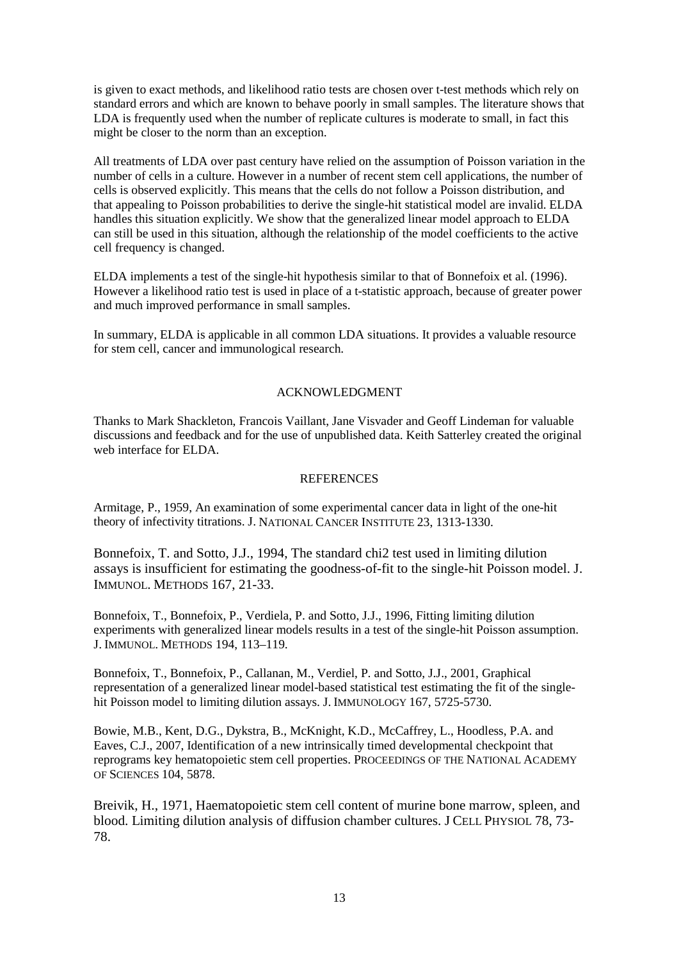is given to exact methods, and likelihood ratio tests are chosen over t-test methods which rely on standard errors and which are known to behave poorly in small samples. The literature shows that LDA is frequently used when the number of replicate cultures is moderate to small, in fact this might be closer to the norm than an exception.

All treatments of LDA over past century have relied on the assumption of Poisson variation in the number of cells in a culture. However in a number of recent stem cell applications, the number of cells is observed explicitly. This means that the cells do not follow a Poisson distribution, and that appealing to Poisson probabilities to derive the single-hit statistical model are invalid. ELDA handles this situation explicitly. We show that the generalized linear model approach to ELDA can still be used in this situation, although the relationship of the model coefficients to the active cell frequency is changed.

ELDA implements a test of the single-hit hypothesis similar to that of Bonnefoix et al. (1996). However a likelihood ratio test is used in place of a t-statistic approach, because of greater power and much improved performance in small samples.

In summary, ELDA is applicable in all common LDA situations. It provides a valuable resource for stem cell, cancer and immunological research.

## ACKNOWLEDGMENT

Thanks to Mark Shackleton, Francois Vaillant, Jane Visvader and Geoff Lindeman for valuable discussions and feedback and for the use of unpublished data. Keith Satterley created the original web interface for ELDA.

## **REFERENCES**

Armitage, P., 1959, An examination of some experimental cancer data in light of the one-hit theory of infectivity titrations. J. NATIONAL CANCER INSTITUTE 23, 1313-1330.

[Bonnefoix, T.](http://www.ncbi.nlm.nih.gov/sites/entrez?Db=pubmed&Cmd=Search&Term=%22Bonnefoix%20T%22%5BAuthor%5D&itool=EntrezSystem2.PEntrez.Pubmed.Pubmed_ResultsPanel.Pubmed_DiscoveryPanel.Pubmed_RVAbstractPlus) and [Sotto, J.J.](http://www.ncbi.nlm.nih.gov/sites/entrez?Db=pubmed&Cmd=Search&Term=%22Sotto%20JJ%22%5BAuthor%5D&itool=EntrezSystem2.PEntrez.Pubmed.Pubmed_ResultsPanel.Pubmed_DiscoveryPanel.Pubmed_RVAbstractPlus), 1994, The standard chi2 test used in limiting dilution assays is insufficient for estimating the goodness-of-fit to the single-hit Poisson model. J. IMMUNOL. METHODS 167, 21-33.

Bonnefoix, T., Bonnefoix, P., Verdiela, P. and Sotto, J.J., 1996, Fitting limiting dilution experiments with generalized linear models results in a test of the single-hit Poisson assumption. J. IMMUNOL. METHODS 194, 113–119.

Bonnefoix, T., Bonnefoix, P., Callanan, M., Verdiel, P. and Sotto, J.J., 2001, Graphical representation of a generalized linear model-based statistical test estimating the fit of the singlehit Poisson model to limiting dilution assays. J. IMMUNOLOGY 167, 5725-5730.

Bowie, M.B., Kent, D.G., Dykstra, B., McKnight, K.D., McCaffrey, L., [Hoodless, P.A.](http://www.ncbi.nlm.nih.gov/sites/entrez?Db=pubmed&Cmd=Search&Term=%22Hoodless%20PA%22%5BAuthor%5D&itool=EntrezSystem2.PEntrez.Pubmed.Pubmed_ResultsPanel.Pubmed_RVAbstract) and [Eaves, C.J.](http://www.ncbi.nlm.nih.gov/sites/entrez?Db=pubmed&Cmd=Search&Term=%22Eaves%20CJ%22%5BAuthor%5D&itool=EntrezSystem2.PEntrez.Pubmed.Pubmed_ResultsPanel.Pubmed_RVAbstract), 2007, Identification of a new intrinsically timed developmental checkpoint that reprograms key hematopoietic stem cell properties. PROCEEDINGS OF THE NATIONAL ACADEMY OF SCIENCES 104, 5878.

Breivik, H., 1971, Haematopoietic stem cell content of murine bone marrow, spleen, and blood. Limiting dilution analysis of diffusion chamber cultures. J CELL PHYSIOL 78, 73- 78.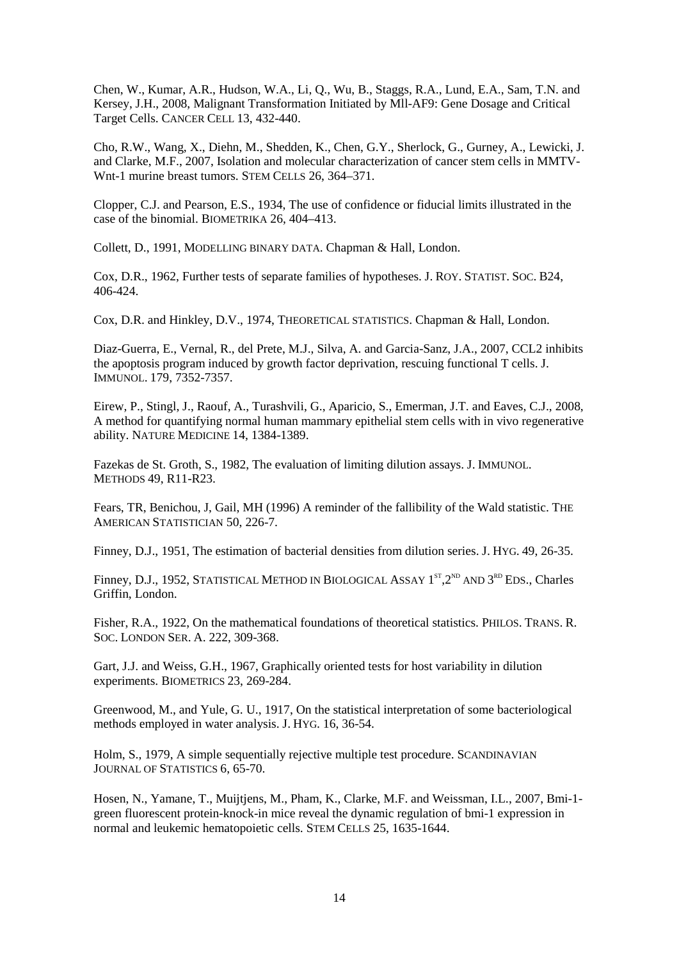Chen, W., Kumar, A.R., Hudson, W.A., Li, Q., Wu, B., Staggs, R.A., Lund, E.A., Sam, T.N. and [Kersey, J.H.](http://www.ncbi.nlm.nih.gov/sites/entrez?Db=pubmed&Cmd=Search&Term=%22Kersey%20JH%22%5BAuthor%5D&itool=EntrezSystem2.PEntrez.Pubmed.Pubmed_ResultsPanel.Pubmed_DiscoveryPanel.Pubmed_RVAbstractPlus), 2008, Malignant Transformation Initiated by Mll-AF9: Gene Dosage and Critical Target Cells. CANCER CELL 13, 432-440.

Cho, R.W., Wang, X., Diehn, M., Shedden, K., Chen, G.Y., Sherlock, G., Gurney, A., Lewicki, J. and Clarke, M.F., 2007, Isolation and molecular characterization of cancer stem cells in MMTV-Wnt-1 murine breast tumors. STEM CELLS 26, 364–371.

Clopper, C.J. and Pearson, E.S., 1934, The use of confidence or fiducial limits illustrated in the case of the binomial. BIOMETRIKA 26, 404–413.

Collett, D., 1991, MODELLING BINARY DATA. Chapman & Hall, London.

Cox, D.R., 1962, Further tests of separate families of hypotheses. J. ROY. STATIST. SOC. B24, 406-424.

Cox, D.R. and Hinkley, D.V., 1974, THEORETICAL STATISTICS. Chapman & Hall, London.

Diaz-Guerra, E.[, Vernal, R.](http://www.ncbi.nlm.nih.gov/sites/entrez?Db=pubmed&Cmd=Search&Term=%22Vernal%20R%22%5BAuthor%5D&itool=EntrezSystem2.PEntrez.Pubmed.Pubmed_ResultsPanel.Pubmed_DiscoveryPanel.Pubmed_RVAbstractPlus), [del Prete, M.J.](http://www.ncbi.nlm.nih.gov/sites/entrez?Db=pubmed&Cmd=Search&Term=%22del%20Prete%20MJ%22%5BAuthor%5D&itool=EntrezSystem2.PEntrez.Pubmed.Pubmed_ResultsPanel.Pubmed_DiscoveryPanel.Pubmed_RVAbstractPlus), [Silva, A.](http://www.ncbi.nlm.nih.gov/sites/entrez?Db=pubmed&Cmd=Search&Term=%22Silva%20A%22%5BAuthor%5D&itool=EntrezSystem2.PEntrez.Pubmed.Pubmed_ResultsPanel.Pubmed_DiscoveryPanel.Pubmed_RVAbstractPlus) and [Garcia-Sanz, J.A.](http://www.ncbi.nlm.nih.gov/sites/entrez?Db=pubmed&Cmd=Search&Term=%22Garcia-Sanz%20JA%22%5BAuthor%5D&itool=EntrezSystem2.PEntrez.Pubmed.Pubmed_ResultsPanel.Pubmed_DiscoveryPanel.Pubmed_RVAbstractPlus), 2007, CCL2 inhibits the apoptosis program induced by growth factor deprivation, rescuing functional T cells. J. IMMUNOL. 179, 7352-7357.

[Eirew, P.](http://www.ncbi.nlm.nih.gov/sites/entrez?Db=pubmed&Cmd=Search&Term=%22Eirew%20P%22%5BAuthor%5D&itool=EntrezSystem2.PEntrez.Pubmed.Pubmed_ResultsPanel.Pubmed_DiscoveryPanel.Pubmed_RVAbstractPlus), [Stingl, J.](http://www.ncbi.nlm.nih.gov/sites/entrez?Db=pubmed&Cmd=Search&Term=%22Stingl%20J%22%5BAuthor%5D&itool=EntrezSystem2.PEntrez.Pubmed.Pubmed_ResultsPanel.Pubmed_DiscoveryPanel.Pubmed_RVAbstractPlus)[, Raouf, A.](http://www.ncbi.nlm.nih.gov/sites/entrez?Db=pubmed&Cmd=Search&Term=%22Raouf%20A%22%5BAuthor%5D&itool=EntrezSystem2.PEntrez.Pubmed.Pubmed_ResultsPanel.Pubmed_DiscoveryPanel.Pubmed_RVAbstractPlus), [Turashvili, G.](http://www.ncbi.nlm.nih.gov/sites/entrez?Db=pubmed&Cmd=Search&Term=%22Turashvili%20G%22%5BAuthor%5D&itool=EntrezSystem2.PEntrez.Pubmed.Pubmed_ResultsPanel.Pubmed_DiscoveryPanel.Pubmed_RVAbstractPlus), [Aparicio, S.](http://www.ncbi.nlm.nih.gov/sites/entrez?Db=pubmed&Cmd=Search&Term=%22Aparicio%20S%22%5BAuthor%5D&itool=EntrezSystem2.PEntrez.Pubmed.Pubmed_ResultsPanel.Pubmed_DiscoveryPanel.Pubmed_RVAbstractPlus), [Emerman, J.T.](http://www.ncbi.nlm.nih.gov/sites/entrez?Db=pubmed&Cmd=Search&Term=%22Emerman%20JT%22%5BAuthor%5D&itool=EntrezSystem2.PEntrez.Pubmed.Pubmed_ResultsPanel.Pubmed_DiscoveryPanel.Pubmed_RVAbstractPlus) and [Eaves, C.J.](http://www.ncbi.nlm.nih.gov/sites/entrez?Db=pubmed&Cmd=Search&Term=%22Eaves%20CJ%22%5BAuthor%5D&itool=EntrezSystem2.PEntrez.Pubmed.Pubmed_ResultsPanel.Pubmed_DiscoveryPanel.Pubmed_RVAbstractPlus), 2008, A method for quantifying normal human mammary epithelial stem cells with in vivo regenerative ability. NATURE MEDICINE 14, 1384-1389.

Fazekas de St. Groth, S., 1982, The evaluation of limiting dilution assays. J. IMMUNOL. METHODS 49, R11-R23.

Fears, TR, Benichou, J, Gail, MH (1996) A reminder of the fallibility of the Wald statistic. THE AMERICAN STATISTICIAN 50, 226-7.

Finney, D.J., 1951, The estimation of bacterial densities from dilution series. J. HYG. 49, 26-35.

Finney, D.J., 1952, STATISTICAL METHOD IN BIOLOGICAL ASSAY  $1^{ST}$ ,  $2^{ND}$  AND  $3^{RD}$  EDS., Charles Griffin, London.

Fisher, R.A., 1922, On the mathematical foundations of theoretical statistics. PHILOS. TRANS. R. SOC. LONDON SER. A. 222, 309-368.

[Gart, J.J.](http://www.ncbi.nlm.nih.gov/sites/entrez?Db=pubmed&Cmd=Search&Term=%22Gart%20JJ%22%5BAuthor%5D&itool=EntrezSystem2.PEntrez.Pubmed.Pubmed_ResultsPanel.Pubmed_DiscoveryPanel.Pubmed_RVAbstractPlus) an[d Weiss, G.H.](http://www.ncbi.nlm.nih.gov/sites/entrez?Db=pubmed&Cmd=Search&Term=%22Weiss%20GH%22%5BAuthor%5D&itool=EntrezSystem2.PEntrez.Pubmed.Pubmed_ResultsPanel.Pubmed_DiscoveryPanel.Pubmed_RVAbstractPlus), 1967, Graphically oriented tests for host variability in dilution experiments. BIOMETRICS 23, 269-284.

Greenwood, M., and Yule, G. U., 1917, On the statistical interpretation of some bacteriological methods employed in water analysis. J. HYG. 16, 36-54.

Holm, S., 1979, A simple sequentially rejective multiple test procedure. SCANDINAVIAN JOURNAL OF STATISTICS 6, 65-70.

Hosen, N., Yamane, T., Muijtjens, M., Pham, K., Clarke, M.F. and Weissman, I.L., 2007, Bmi-1 green fluorescent protein-knock-in mice reveal the dynamic regulation of bmi-1 expression in normal and leukemic hematopoietic cells. STEM CELLS 25, 1635-1644.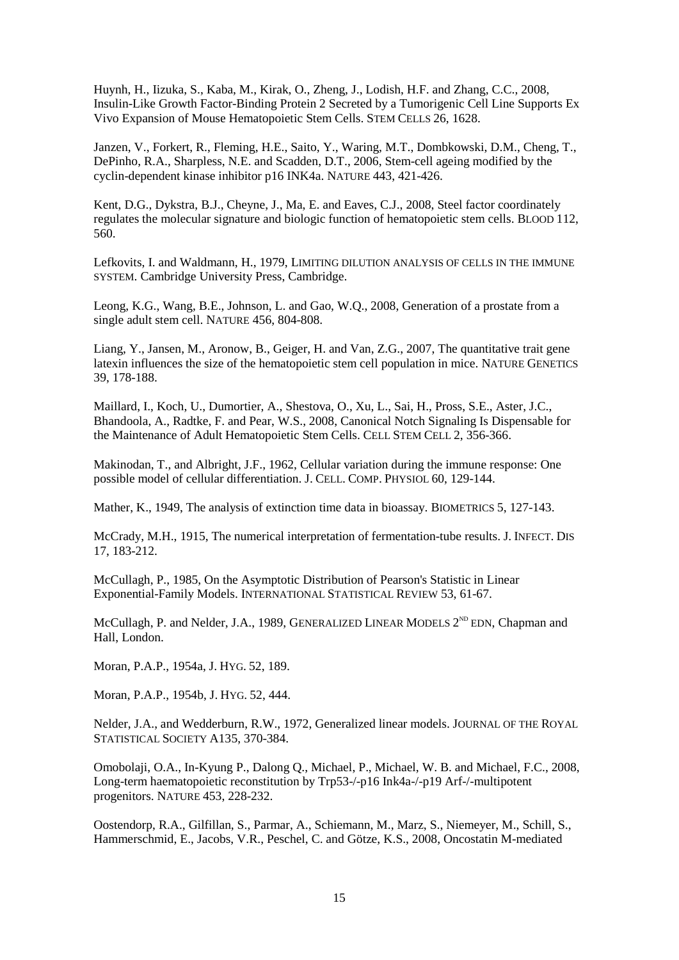[Huynh, H.](http://www.ncbi.nlm.nih.gov/sites/entrez?Db=pubmed&Cmd=Search&Term=%22Huynh%20H%22%5BAuthor%5D&itool=EntrezSystem2.PEntrez.Pubmed.Pubmed_ResultsPanel.Pubmed_DiscoveryPanel.Pubmed_RVAbstractPlus), [Iizuka, S.](http://www.ncbi.nlm.nih.gov/sites/entrez?Db=pubmed&Cmd=Search&Term=%22Iizuka%20S%22%5BAuthor%5D&itool=EntrezSystem2.PEntrez.Pubmed.Pubmed_ResultsPanel.Pubmed_DiscoveryPanel.Pubmed_RVAbstractPlus), [Kaba, M.](http://www.ncbi.nlm.nih.gov/sites/entrez?Db=pubmed&Cmd=Search&Term=%22Kaba%20M%22%5BAuthor%5D&itool=EntrezSystem2.PEntrez.Pubmed.Pubmed_ResultsPanel.Pubmed_DiscoveryPanel.Pubmed_RVAbstractPlus), [Kirak, O.](http://www.ncbi.nlm.nih.gov/sites/entrez?Db=pubmed&Cmd=Search&Term=%22Kirak%20O%22%5BAuthor%5D&itool=EntrezSystem2.PEntrez.Pubmed.Pubmed_ResultsPanel.Pubmed_DiscoveryPanel.Pubmed_RVAbstractPlus), [Zheng, J.](http://www.ncbi.nlm.nih.gov/sites/entrez?Db=pubmed&Cmd=Search&Term=%22Zheng%20J%22%5BAuthor%5D&itool=EntrezSystem2.PEntrez.Pubmed.Pubmed_ResultsPanel.Pubmed_DiscoveryPanel.Pubmed_RVAbstractPlus), [Lodish, H.F.](http://www.ncbi.nlm.nih.gov/sites/entrez?Db=pubmed&Cmd=Search&Term=%22Lodish%20HF%22%5BAuthor%5D&itool=EntrezSystem2.PEntrez.Pubmed.Pubmed_ResultsPanel.Pubmed_DiscoveryPanel.Pubmed_RVAbstractPlus) and [Zhang, C.C.](http://www.ncbi.nlm.nih.gov/sites/entrez?Db=pubmed&Cmd=Search&Term=%22Zhang%20CC%22%5BAuthor%5D&itool=EntrezSystem2.PEntrez.Pubmed.Pubmed_ResultsPanel.Pubmed_DiscoveryPanel.Pubmed_RVAbstractPlus), 2008, Insulin-Like Growth Factor-Binding Protein 2 Secreted by a Tumorigenic Cell Line Supports Ex Vivo Expansion of Mouse Hematopoietic Stem Cells. STEM CELLS 26, 1628.

[Janzen, V.](http://www.ncbi.nlm.nih.gov/sites/entrez?Db=pubmed&Cmd=Search&Term=%22Janzen%20V%22%5BAuthor%5D&itool=EntrezSystem2.PEntrez.Pubmed.Pubmed_ResultsPanel.Pubmed_DiscoveryPanel.Pubmed_RVAbstractPlus), [Forkert, R.](http://www.ncbi.nlm.nih.gov/sites/entrez?Db=pubmed&Cmd=Search&Term=%22Forkert%20R%22%5BAuthor%5D&itool=EntrezSystem2.PEntrez.Pubmed.Pubmed_ResultsPanel.Pubmed_DiscoveryPanel.Pubmed_RVAbstractPlus), [Fleming, H.E.](http://www.ncbi.nlm.nih.gov/sites/entrez?Db=pubmed&Cmd=Search&Term=%22Fleming%20HE%22%5BAuthor%5D&itool=EntrezSystem2.PEntrez.Pubmed.Pubmed_ResultsPanel.Pubmed_DiscoveryPanel.Pubmed_RVAbstractPlus), [Saito, Y.](http://www.ncbi.nlm.nih.gov/sites/entrez?Db=pubmed&Cmd=Search&Term=%22Saito%20Y%22%5BAuthor%5D&itool=EntrezSystem2.PEntrez.Pubmed.Pubmed_ResultsPanel.Pubmed_DiscoveryPanel.Pubmed_RVAbstractPlus), [Waring, M.T.](http://www.ncbi.nlm.nih.gov/sites/entrez?Db=pubmed&Cmd=Search&Term=%22Waring%20MT%22%5BAuthor%5D&itool=EntrezSystem2.PEntrez.Pubmed.Pubmed_ResultsPanel.Pubmed_DiscoveryPanel.Pubmed_RVAbstractPlus), [Dombkowski, D.M.](http://www.ncbi.nlm.nih.gov/sites/entrez?Db=pubmed&Cmd=Search&Term=%22Dombkowski%20DM%22%5BAuthor%5D&itool=EntrezSystem2.PEntrez.Pubmed.Pubmed_ResultsPanel.Pubmed_DiscoveryPanel.Pubmed_RVAbstractPlus), [Cheng, T.](http://www.ncbi.nlm.nih.gov/sites/entrez?Db=pubmed&Cmd=Search&Term=%22Cheng%20T%22%5BAuthor%5D&itool=EntrezSystem2.PEntrez.Pubmed.Pubmed_ResultsPanel.Pubmed_DiscoveryPanel.Pubmed_RVAbstractPlus), [DePinho, R.A.](http://www.ncbi.nlm.nih.gov/sites/entrez?Db=pubmed&Cmd=Search&Term=%22DePinho%20RA%22%5BAuthor%5D&itool=EntrezSystem2.PEntrez.Pubmed.Pubmed_ResultsPanel.Pubmed_DiscoveryPanel.Pubmed_RVAbstractPlus), [Sharpless, N.E.](http://www.ncbi.nlm.nih.gov/sites/entrez?Db=pubmed&Cmd=Search&Term=%22Sharpless%20NE%22%5BAuthor%5D&itool=EntrezSystem2.PEntrez.Pubmed.Pubmed_ResultsPanel.Pubmed_DiscoveryPanel.Pubmed_RVAbstractPlus) an[d Scadden, D.T.](http://www.ncbi.nlm.nih.gov/sites/entrez?Db=pubmed&Cmd=Search&Term=%22Scadden%20DT%22%5BAuthor%5D&itool=EntrezSystem2.PEntrez.Pubmed.Pubmed_ResultsPanel.Pubmed_DiscoveryPanel.Pubmed_RVAbstractPlus), 2006, Stem-cell ageing modified by the cyclin-dependent kinase inhibitor p16 INK4a. NATURE 443, 421-426.

[Kent, D.G.](http://www.ncbi.nlm.nih.gov/sites/entrez?Db=pubmed&Cmd=Search&Term=%22Kent%20DG%22%5BAuthor%5D&itool=EntrezSystem2.PEntrez.Pubmed.Pubmed_ResultsPanel.Pubmed_DiscoveryPanel.Pubmed_RVAbstractPlus), [Dykstra, B.J.](http://www.ncbi.nlm.nih.gov/sites/entrez?Db=pubmed&Cmd=Search&Term=%22Dykstra%20BJ%22%5BAuthor%5D&itool=EntrezSystem2.PEntrez.Pubmed.Pubmed_ResultsPanel.Pubmed_DiscoveryPanel.Pubmed_RVAbstractPlus), [Cheyne, J.](http://www.ncbi.nlm.nih.gov/sites/entrez?Db=pubmed&Cmd=Search&Term=%22Cheyne%20J%22%5BAuthor%5D&itool=EntrezSystem2.PEntrez.Pubmed.Pubmed_ResultsPanel.Pubmed_DiscoveryPanel.Pubmed_RVAbstractPlus), [Ma, E.](http://www.ncbi.nlm.nih.gov/sites/entrez?Db=pubmed&Cmd=Search&Term=%22Ma%20E%22%5BAuthor%5D&itool=EntrezSystem2.PEntrez.Pubmed.Pubmed_ResultsPanel.Pubmed_DiscoveryPanel.Pubmed_RVAbstractPlus) an[d Eaves, C.J.](http://www.ncbi.nlm.nih.gov/sites/entrez?Db=pubmed&Cmd=Search&Term=%22Eaves%20CJ%22%5BAuthor%5D&itool=EntrezSystem2.PEntrez.Pubmed.Pubmed_ResultsPanel.Pubmed_DiscoveryPanel.Pubmed_RVAbstractPlus), 2008, Steel factor coordinately regulates the molecular signature and biologic function of hematopoietic stem cells. BLOOD 112, 560.

Lefkovits, I. and Waldmann, H., 1979, LIMITING DILUTION ANALYSIS OF CELLS IN THE IMMUNE SYSTEM. Cambridge University Press, Cambridge.

Leong, K.G., Wang, B.E., Johnson, L. and Gao, W.Q., 2008, Generation of a prostate from a single adult stem cell. NATURE 456, 804-808.

[Liang, Y.](http://www.ncbi.nlm.nih.gov/sites/entrez?Db=pubmed&Cmd=Search&Term=%22Liang%20Y%22%5BAuthor%5D&itool=EntrezSystem2.PEntrez.Pubmed.Pubmed_ResultsPanel.Pubmed_DiscoveryPanel.Pubmed_RVAbstractPlus), [Jansen, M.](http://www.ncbi.nlm.nih.gov/sites/entrez?Db=pubmed&Cmd=Search&Term=%22Jansen%20M%22%5BAuthor%5D&itool=EntrezSystem2.PEntrez.Pubmed.Pubmed_ResultsPanel.Pubmed_DiscoveryPanel.Pubmed_RVAbstractPlus), [Aronow, B.](http://www.ncbi.nlm.nih.gov/sites/entrez?Db=pubmed&Cmd=Search&Term=%22Aronow%20B%22%5BAuthor%5D&itool=EntrezSystem2.PEntrez.Pubmed.Pubmed_ResultsPanel.Pubmed_DiscoveryPanel.Pubmed_RVAbstractPlus), [Geiger, H.](http://www.ncbi.nlm.nih.gov/sites/entrez?Db=pubmed&Cmd=Search&Term=%22Geiger%20H%22%5BAuthor%5D&itool=EntrezSystem2.PEntrez.Pubmed.Pubmed_ResultsPanel.Pubmed_DiscoveryPanel.Pubmed_RVAbstractPlus) and [Van, Z.G.,](http://www.ncbi.nlm.nih.gov/sites/entrez?Db=pubmed&Cmd=Search&Term=%22Van%20Zant%20G%22%5BAuthor%5D&itool=EntrezSystem2.PEntrez.Pubmed.Pubmed_ResultsPanel.Pubmed_DiscoveryPanel.Pubmed_RVAbstractPlus) 2007, The quantitative trait gene latexin influences the size of the hematopoietic stem cell population in mice. NATURE GENETICS 39, 178-188.

[Maillard, I.](http://www.ncbi.nlm.nih.gov/sites/entrez?Db=pubmed&Cmd=Search&Term=%22Maillard%20I%22%5BAuthor%5D&itool=EntrezSystem2.PEntrez.Pubmed.Pubmed_ResultsPanel.Pubmed_DiscoveryPanel.Pubmed_RVAbstractPlus), [Koch, U.](http://www.ncbi.nlm.nih.gov/sites/entrez?Db=pubmed&Cmd=Search&Term=%22Koch%20U%22%5BAuthor%5D&itool=EntrezSystem2.PEntrez.Pubmed.Pubmed_ResultsPanel.Pubmed_DiscoveryPanel.Pubmed_RVAbstractPlus), [Dumortier, A.](http://www.ncbi.nlm.nih.gov/sites/entrez?Db=pubmed&Cmd=Search&Term=%22Dumortier%20A%22%5BAuthor%5D&itool=EntrezSystem2.PEntrez.Pubmed.Pubmed_ResultsPanel.Pubmed_DiscoveryPanel.Pubmed_RVAbstractPlus), [Shestova, O.](http://www.ncbi.nlm.nih.gov/sites/entrez?Db=pubmed&Cmd=Search&Term=%22Shestova%20O%22%5BAuthor%5D&itool=EntrezSystem2.PEntrez.Pubmed.Pubmed_ResultsPanel.Pubmed_DiscoveryPanel.Pubmed_RVAbstractPlus), [Xu, L.](http://www.ncbi.nlm.nih.gov/sites/entrez?Db=pubmed&Cmd=Search&Term=%22Xu%20L%22%5BAuthor%5D&itool=EntrezSystem2.PEntrez.Pubmed.Pubmed_ResultsPanel.Pubmed_DiscoveryPanel.Pubmed_RVAbstractPlus), [Sai, H.](http://www.ncbi.nlm.nih.gov/sites/entrez?Db=pubmed&Cmd=Search&Term=%22Sai%20H%22%5BAuthor%5D&itool=EntrezSystem2.PEntrez.Pubmed.Pubmed_ResultsPanel.Pubmed_DiscoveryPanel.Pubmed_RVAbstractPlus), [Pross, S.E.](http://www.ncbi.nlm.nih.gov/sites/entrez?Db=pubmed&Cmd=Search&Term=%22Pross%20SE%22%5BAuthor%5D&itool=EntrezSystem2.PEntrez.Pubmed.Pubmed_ResultsPanel.Pubmed_DiscoveryPanel.Pubmed_RVAbstractPlus), [Aster, J.C.](http://www.ncbi.nlm.nih.gov/sites/entrez?Db=pubmed&Cmd=Search&Term=%22Aster%20JC%22%5BAuthor%5D&itool=EntrezSystem2.PEntrez.Pubmed.Pubmed_ResultsPanel.Pubmed_DiscoveryPanel.Pubmed_RVAbstractPlus), [Bhandoola, A.](http://www.ncbi.nlm.nih.gov/sites/entrez?Db=pubmed&Cmd=Search&Term=%22Bhandoola%20A%22%5BAuthor%5D&itool=EntrezSystem2.PEntrez.Pubmed.Pubmed_ResultsPanel.Pubmed_DiscoveryPanel.Pubmed_RVAbstractPlus), [Radtke, F.](http://www.ncbi.nlm.nih.gov/sites/entrez?Db=pubmed&Cmd=Search&Term=%22Radtke%20F%22%5BAuthor%5D&itool=EntrezSystem2.PEntrez.Pubmed.Pubmed_ResultsPanel.Pubmed_DiscoveryPanel.Pubmed_RVAbstractPlus) and [Pear, W.S.](http://www.ncbi.nlm.nih.gov/sites/entrez?Db=pubmed&Cmd=Search&Term=%22Pear%20WS%22%5BAuthor%5D&itool=EntrezSystem2.PEntrez.Pubmed.Pubmed_ResultsPanel.Pubmed_DiscoveryPanel.Pubmed_RVAbstractPlus), 2008, Canonical Notch Signaling Is Dispensable for the Maintenance of Adult Hematopoietic Stem Cells. CELL STEM CELL 2, 356-366.

Makinodan, T., and Albright, J.F., 1962, Cellular variation during the immune response: One possible model of cellular differentiation. J. CELL. COMP. PHYSIOL 60, 129-144.

Mather, K., 1949, The analysis of extinction time data in bioassay. BIOMETRICS 5, 127-143.

McCrady, M.H., 1915, The numerical interpretation of fermentation-tube results. J. INFECT. DIS 17, 183-212.

McCullagh, P., 1985, On the Asymptotic Distribution of Pearson's Statistic in Linear Exponential-Family Models. INTERNATIONAL STATISTICAL REVIEW 53, 61-67.

McCullagh, P. and Nelder, J.A., 1989, GENERALIZED LINEAR MODELS  $2^{ND}$  EDN, Chapman and Hall, London.

Moran, P.A.P., 1954a, J. HYG. 52, 189.

Moran, P.A.P., 1954b, J. HYG. 52, 444.

Nelder, J.A., and Wedderburn, R.W., 1972, Generalized linear models. JOURNAL OF THE ROYAL STATISTICAL SOCIETY A135, 370-384.

Omobolaji, O.A., In-Kyung P., Dalong Q., Michael, P., Michael, W. B. and Michael, F.C., 2008, Long-term haematopoietic reconstitution by Trp53-/-p16 Ink4a-/-p19 Arf-/-multipotent progenitors. NATURE 453, 228-232.

[Oostendorp, R.A.](http://www.ncbi.nlm.nih.gov/sites/entrez?Db=pubmed&Cmd=Search&Term=%22Oostendorp%20RA%22%5BAuthor%5D&itool=EntrezSystem2.PEntrez.Pubmed.Pubmed_ResultsPanel.Pubmed_DiscoveryPanel.Pubmed_RVAbstractPlus), [Gilfillan, S.](http://www.ncbi.nlm.nih.gov/sites/entrez?Db=pubmed&Cmd=Search&Term=%22Gilfillan%20S%22%5BAuthor%5D&itool=EntrezSystem2.PEntrez.Pubmed.Pubmed_ResultsPanel.Pubmed_DiscoveryPanel.Pubmed_RVAbstractPlus), [Parmar, A.](http://www.ncbi.nlm.nih.gov/sites/entrez?Db=pubmed&Cmd=Search&Term=%22Parmar%20A%22%5BAuthor%5D&itool=EntrezSystem2.PEntrez.Pubmed.Pubmed_ResultsPanel.Pubmed_DiscoveryPanel.Pubmed_RVAbstractPlus), [Schiemann, M.](http://www.ncbi.nlm.nih.gov/sites/entrez?Db=pubmed&Cmd=Search&Term=%22Schiemann%20M%22%5BAuthor%5D&itool=EntrezSystem2.PEntrez.Pubmed.Pubmed_ResultsPanel.Pubmed_DiscoveryPanel.Pubmed_RVAbstractPlus), [Marz, S.](http://www.ncbi.nlm.nih.gov/sites/entrez?Db=pubmed&Cmd=Search&Term=%22Marz%20S%22%5BAuthor%5D&itool=EntrezSystem2.PEntrez.Pubmed.Pubmed_ResultsPanel.Pubmed_DiscoveryPanel.Pubmed_RVAbstractPlus), [Niemeyer, M.](http://www.ncbi.nlm.nih.gov/sites/entrez?Db=pubmed&Cmd=Search&Term=%22Niemeyer%20M%22%5BAuthor%5D&itool=EntrezSystem2.PEntrez.Pubmed.Pubmed_ResultsPanel.Pubmed_DiscoveryPanel.Pubmed_RVAbstractPlus), [Schill, S.](http://www.ncbi.nlm.nih.gov/sites/entrez?Db=pubmed&Cmd=Search&Term=%22Schill%20S%22%5BAuthor%5D&itool=EntrezSystem2.PEntrez.Pubmed.Pubmed_ResultsPanel.Pubmed_DiscoveryPanel.Pubmed_RVAbstractPlus), [Hammerschmid, E.](http://www.ncbi.nlm.nih.gov/sites/entrez?Db=pubmed&Cmd=Search&Term=%22Hammerschmid%20E%22%5BAuthor%5D&itool=EntrezSystem2.PEntrez.Pubmed.Pubmed_ResultsPanel.Pubmed_DiscoveryPanel.Pubmed_RVAbstractPlus), [Jacobs, V.R.](http://www.ncbi.nlm.nih.gov/sites/entrez?Db=pubmed&Cmd=Search&Term=%22Jacobs%20VR%22%5BAuthor%5D&itool=EntrezSystem2.PEntrez.Pubmed.Pubmed_ResultsPanel.Pubmed_DiscoveryPanel.Pubmed_RVAbstractPlus), [Peschel, C.](http://www.ncbi.nlm.nih.gov/sites/entrez?Db=pubmed&Cmd=Search&Term=%22Peschel%20C%22%5BAuthor%5D&itool=EntrezSystem2.PEntrez.Pubmed.Pubmed_ResultsPanel.Pubmed_DiscoveryPanel.Pubmed_RVAbstractPlus) and [Götze, K.S.](http://www.ncbi.nlm.nih.gov/sites/entrez?Db=pubmed&Cmd=Search&Term=%22G%C3%B6tze%20KS%22%5BAuthor%5D&itool=EntrezSystem2.PEntrez.Pubmed.Pubmed_ResultsPanel.Pubmed_DiscoveryPanel.Pubmed_RVAbstractPlus), 2008, Oncostatin M-mediated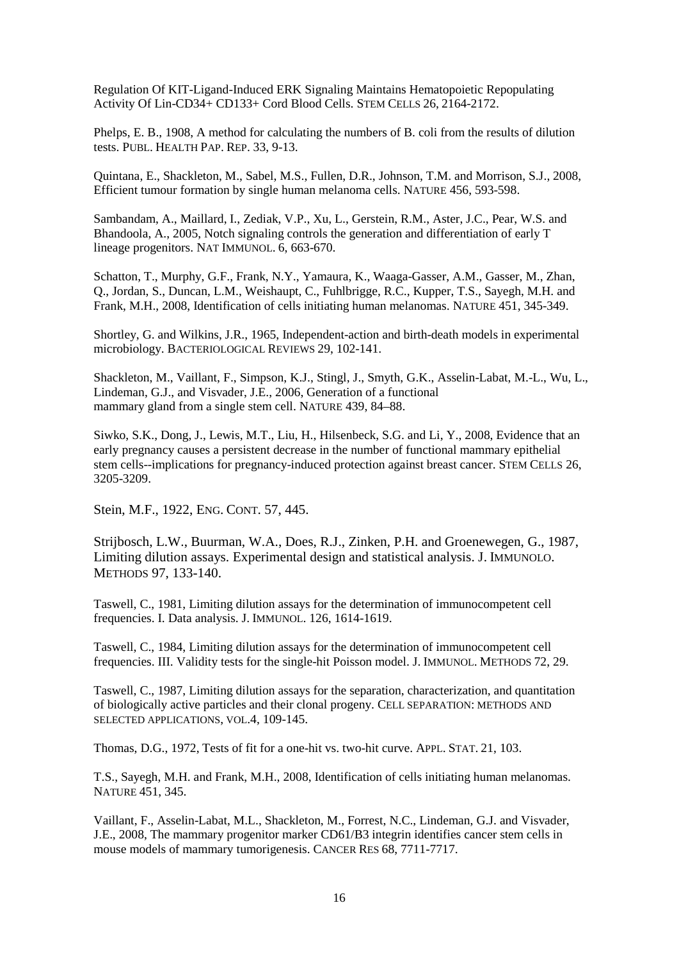Regulation Of KIT-Ligand-Induced ERK Signaling Maintains Hematopoietic Repopulating Activity Of Lin-CD34+ CD133+ Cord Blood Cells. STEM CELLS 26, 2164-2172.

Phelps, E. B., 1908, A method for calculating the numbers of B. coli from the results of dilution tests. PUBL. HEALTH PAP. REP. 33, 9-13.

Quintana, E., Shackleton, M., Sabel, M.S., Fullen, D.R., Johnson, T.M. and Morrison, S.J., 2008, Efficient tumour formation by single human melanoma cells. NATURE 456, 593-598.

[Sambandam, A.](http://www.ncbi.nlm.nih.gov/sites/entrez?Db=pubmed&Cmd=Search&Term=%22Sambandam%20A%22%5BAuthor%5D&itool=EntrezSystem2.PEntrez.Pubmed.Pubmed_ResultsPanel.Pubmed_DiscoveryPanel.Pubmed_RVAbstractPlus), [Maillard, I.,](http://www.ncbi.nlm.nih.gov/sites/entrez?Db=pubmed&Cmd=Search&Term=%22Maillard%20I%22%5BAuthor%5D&itool=EntrezSystem2.PEntrez.Pubmed.Pubmed_ResultsPanel.Pubmed_DiscoveryPanel.Pubmed_RVAbstractPlus) [Zediak, V.P.](http://www.ncbi.nlm.nih.gov/sites/entrez?Db=pubmed&Cmd=Search&Term=%22Zediak%20VP%22%5BAuthor%5D&itool=EntrezSystem2.PEntrez.Pubmed.Pubmed_ResultsPanel.Pubmed_DiscoveryPanel.Pubmed_RVAbstractPlus), [Xu, L.](http://www.ncbi.nlm.nih.gov/sites/entrez?Db=pubmed&Cmd=Search&Term=%22Xu%20L%22%5BAuthor%5D&itool=EntrezSystem2.PEntrez.Pubmed.Pubmed_ResultsPanel.Pubmed_DiscoveryPanel.Pubmed_RVAbstractPlus), [Gerstein, R.M.](http://www.ncbi.nlm.nih.gov/sites/entrez?Db=pubmed&Cmd=Search&Term=%22Gerstein%20RM%22%5BAuthor%5D&itool=EntrezSystem2.PEntrez.Pubmed.Pubmed_ResultsPanel.Pubmed_DiscoveryPanel.Pubmed_RVAbstractPlus), [Aster, J.C.](http://www.ncbi.nlm.nih.gov/sites/entrez?Db=pubmed&Cmd=Search&Term=%22Aster%20JC%22%5BAuthor%5D&itool=EntrezSystem2.PEntrez.Pubmed.Pubmed_ResultsPanel.Pubmed_DiscoveryPanel.Pubmed_RVAbstractPlus), [Pear, W.S.](http://www.ncbi.nlm.nih.gov/sites/entrez?Db=pubmed&Cmd=Search&Term=%22Pear%20WS%22%5BAuthor%5D&itool=EntrezSystem2.PEntrez.Pubmed.Pubmed_ResultsPanel.Pubmed_DiscoveryPanel.Pubmed_RVAbstractPlus) and [Bhandoola, A.](http://www.ncbi.nlm.nih.gov/sites/entrez?Db=pubmed&Cmd=Search&Term=%22Bhandoola%20A%22%5BAuthor%5D&itool=EntrezSystem2.PEntrez.Pubmed.Pubmed_ResultsPanel.Pubmed_DiscoveryPanel.Pubmed_RVAbstractPlus), 2005, Notch signaling controls the generation and differentiation of early T lineage progenitors. NAT IMMUNOL. 6, 663-670.

[Schatton, T.](http://www.ncbi.nlm.nih.gov/sites/entrez?Db=pubmed&Cmd=Search&Term=%22Schatton%20T%22%5BAuthor%5D&itool=EntrezSystem2.PEntrez.Pubmed.Pubmed_ResultsPanel.Pubmed_DiscoveryPanel.Pubmed_RVAbstractPlus), [Murphy, G.F.](http://www.ncbi.nlm.nih.gov/sites/entrez?Db=pubmed&Cmd=Search&Term=%22Murphy%20GF%22%5BAuthor%5D&itool=EntrezSystem2.PEntrez.Pubmed.Pubmed_ResultsPanel.Pubmed_DiscoveryPanel.Pubmed_RVAbstractPlus), [Frank, N.Y.](http://www.ncbi.nlm.nih.gov/sites/entrez?Db=pubmed&Cmd=Search&Term=%22Frank%20NY%22%5BAuthor%5D&itool=EntrezSystem2.PEntrez.Pubmed.Pubmed_ResultsPanel.Pubmed_DiscoveryPanel.Pubmed_RVAbstractPlus), [Yamaura, K.](http://www.ncbi.nlm.nih.gov/sites/entrez?Db=pubmed&Cmd=Search&Term=%22Yamaura%20K%22%5BAuthor%5D&itool=EntrezSystem2.PEntrez.Pubmed.Pubmed_ResultsPanel.Pubmed_DiscoveryPanel.Pubmed_RVAbstractPlus), [Waaga-Gasser, A.M.](http://www.ncbi.nlm.nih.gov/sites/entrez?Db=pubmed&Cmd=Search&Term=%22Waaga-Gasser%20AM%22%5BAuthor%5D&itool=EntrezSystem2.PEntrez.Pubmed.Pubmed_ResultsPanel.Pubmed_DiscoveryPanel.Pubmed_RVAbstractPlus), [Gasser, M.](http://www.ncbi.nlm.nih.gov/sites/entrez?Db=pubmed&Cmd=Search&Term=%22Gasser%20M%22%5BAuthor%5D&itool=EntrezSystem2.PEntrez.Pubmed.Pubmed_ResultsPanel.Pubmed_DiscoveryPanel.Pubmed_RVAbstractPlus), [Zhan,](http://www.ncbi.nlm.nih.gov/sites/entrez?Db=pubmed&Cmd=Search&Term=%22Zhan%20Q%22%5BAuthor%5D&itool=EntrezSystem2.PEntrez.Pubmed.Pubmed_ResultsPanel.Pubmed_DiscoveryPanel.Pubmed_RVAbstractPlus)  [Q.](http://www.ncbi.nlm.nih.gov/sites/entrez?Db=pubmed&Cmd=Search&Term=%22Zhan%20Q%22%5BAuthor%5D&itool=EntrezSystem2.PEntrez.Pubmed.Pubmed_ResultsPanel.Pubmed_DiscoveryPanel.Pubmed_RVAbstractPlus), [Jordan, S.](http://www.ncbi.nlm.nih.gov/sites/entrez?Db=pubmed&Cmd=Search&Term=%22Jordan%20S%22%5BAuthor%5D&itool=EntrezSystem2.PEntrez.Pubmed.Pubmed_ResultsPanel.Pubmed_DiscoveryPanel.Pubmed_RVAbstractPlus), [Duncan, L.M.](http://www.ncbi.nlm.nih.gov/sites/entrez?Db=pubmed&Cmd=Search&Term=%22Duncan%20LM%22%5BAuthor%5D&itool=EntrezSystem2.PEntrez.Pubmed.Pubmed_ResultsPanel.Pubmed_DiscoveryPanel.Pubmed_RVAbstractPlus), [Weishaupt, C.](http://www.ncbi.nlm.nih.gov/sites/entrez?Db=pubmed&Cmd=Search&Term=%22Weishaupt%20C%22%5BAuthor%5D&itool=EntrezSystem2.PEntrez.Pubmed.Pubmed_ResultsPanel.Pubmed_DiscoveryPanel.Pubmed_RVAbstractPlus), [Fuhlbrigge, R.C.](http://www.ncbi.nlm.nih.gov/sites/entrez?Db=pubmed&Cmd=Search&Term=%22Fuhlbrigge%20RC%22%5BAuthor%5D&itool=EntrezSystem2.PEntrez.Pubmed.Pubmed_ResultsPanel.Pubmed_DiscoveryPanel.Pubmed_RVAbstractPlus), Kupper, T.S., Sayegh, M.H. and Frank, M.H., 2008, Identification of cells initiating human melanomas. NATURE 451, 345-349.

Shortley, G. and Wilkins, J.R., 1965, Independent-action and birth-death models in experimental microbiology. BACTERIOLOGICAL REVIEWS 29, 102-141.

Shackleton, M., Vaillant, F., Simpson, K.J., Stingl, J., Smyth, G.K., Asselin-Labat, M.-L., Wu, L., Lindeman, G.J., and Visvader, J.E., 2006, Generation of a functional mammary gland from a single stem cell. NATURE 439, 84–88.

Siwko, S.K., Dong, J., Lewis, M.T., Liu, H., Hilsenbeck, S.G. and Li, Y., 2008, Evidence that an early pregnancy causes a persistent decrease in the number of functional mammary epithelial stem cells--implications for pregnancy-induced protection against breast cancer. STEM CELLS 26, 3205-3209.

Stein, M.F., 1922, ENG. CONT. 57, 445.

[Strijbosch, L.W.](http://www.ncbi.nlm.nih.gov/sites/entrez?Db=pubmed&Cmd=Search&Term=%22Strijbosch%20LW%22%5BAuthor%5D&itool=EntrezSystem2.PEntrez.Pubmed.Pubmed_ResultsPanel.Pubmed_DiscoveryPanel.Pubmed_RVAbstractPlus), [Buurman, W.A.](http://www.ncbi.nlm.nih.gov/sites/entrez?Db=pubmed&Cmd=Search&Term=%22Buurman%20WA%22%5BAuthor%5D&itool=EntrezSystem2.PEntrez.Pubmed.Pubmed_ResultsPanel.Pubmed_DiscoveryPanel.Pubmed_RVAbstractPlus), [Does, R.J.](http://www.ncbi.nlm.nih.gov/sites/entrez?Db=pubmed&Cmd=Search&Term=%22Does%20RJ%22%5BAuthor%5D&itool=EntrezSystem2.PEntrez.Pubmed.Pubmed_ResultsPanel.Pubmed_DiscoveryPanel.Pubmed_RVAbstractPlus), [Zinken, P.H.](http://www.ncbi.nlm.nih.gov/sites/entrez?Db=pubmed&Cmd=Search&Term=%22Zinken%20PH%22%5BAuthor%5D&itool=EntrezSystem2.PEntrez.Pubmed.Pubmed_ResultsPanel.Pubmed_DiscoveryPanel.Pubmed_RVAbstractPlus) and [Groenewegen, G.](http://www.ncbi.nlm.nih.gov/sites/entrez?Db=pubmed&Cmd=Search&Term=%22Groenewegen%20G%22%5BAuthor%5D&itool=EntrezSystem2.PEntrez.Pubmed.Pubmed_ResultsPanel.Pubmed_DiscoveryPanel.Pubmed_RVAbstractPlus), 1987, Limiting dilution assays. Experimental design and statistical analysis. J. IMMUNOLO. METHODS 97, 133-140.

Taswell, C., 1981, Limiting dilution assays for the determination of immunocompetent cell frequencies. I. Data analysis. J. IMMUNOL. 126, 1614-1619.

Taswell, C., 1984, Limiting dilution assays for the determination of immunocompetent cell frequencies. III. Validity tests for the single-hit Poisson model. J. IMMUNOL. METHODS 72, 29.

Taswell, C., 1987, Limiting dilution assays for the separation, characterization, and quantitation of biologically active particles and their clonal progeny. CELL SEPARATION: METHODS AND SELECTED APPLICATIONS, VOL.4, 109-145.

Thomas, D.G., 1972, Tests of fit for a one-hit vs. two-hit curve. APPL. STAT. 21, 103.

T.S., [Sayegh, M.H.](http://www.ncbi.nlm.nih.gov/sites/entrez?Db=pubmed&Cmd=Search&Term=%22Sayegh%20MH%22%5BAuthor%5D&itool=EntrezSystem2.PEntrez.Pubmed.Pubmed_ResultsPanel.Pubmed_DiscoveryPanel.Pubmed_RVAbstractPlus) and [Frank, M.H.](http://www.ncbi.nlm.nih.gov/sites/entrez?Db=pubmed&Cmd=Search&Term=%22Frank%20MH%22%5BAuthor%5D&itool=EntrezSystem2.PEntrez.Pubmed.Pubmed_ResultsPanel.Pubmed_DiscoveryPanel.Pubmed_RVAbstractPlus), 2008, Identification of cells initiating human melanomas. NATURE 451, 345.

Vaillant, F., Asselin-Labat, M.L., Shackleton, M., Forrest, N.C., Lindeman, G.J. and Visvader, J.E., 2008, The mammary progenitor marker CD61/B3 integrin identifies cancer stem cells in mouse models of mammary tumorigenesis. CANCER RES 68, 7711-7717.